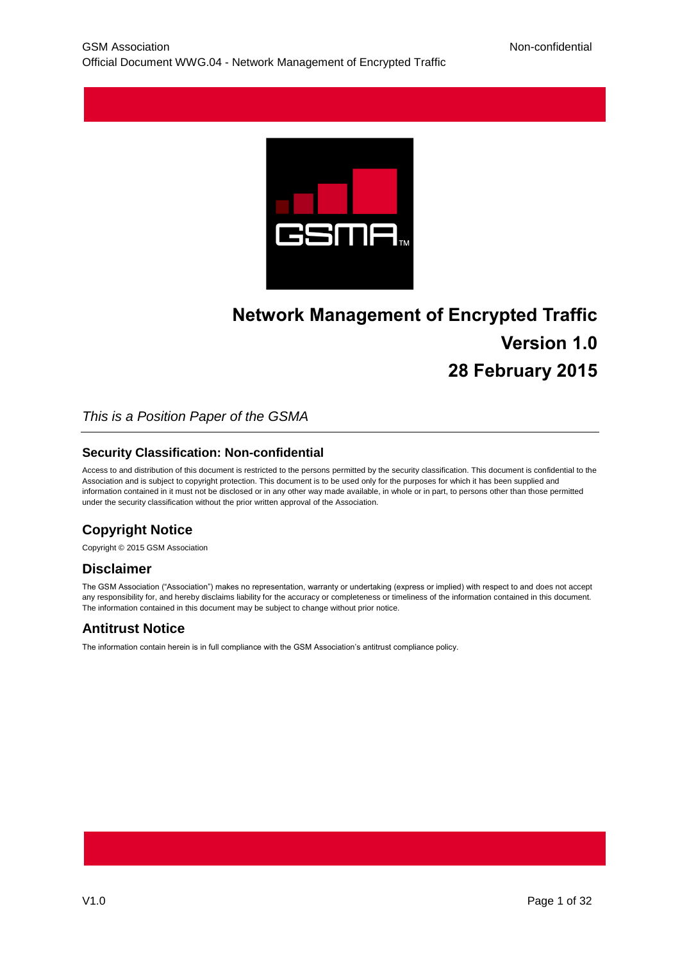

# **Network Management of Encrypted Traffic Version 1.0 28 February 2015**

### *This is a Position Paper of the GSMA*

#### **Security Classification: Non-confidential**

Access to and distribution of this document is restricted to the persons permitted by the security classification. This document is confidential to the Association and is subject to copyright protection. This document is to be used only for the purposes for which it has been supplied and information contained in it must not be disclosed or in any other way made available, in whole or in part, to persons other than those permitted under the security classification without the prior written approval of the Association.

# **Copyright Notice**

Copyright © 2015 GSM Association

### **Disclaimer**

The GSM Association ("Association") makes no representation, warranty or undertaking (express or implied) with respect to and does not accept any responsibility for, and hereby disclaims liability for the accuracy or completeness or timeliness of the information contained in this document. The information contained in this document may be subject to change without prior notice.

### **Antitrust Notice**

The information contain herein is in full compliance with the GSM Association's antitrust compliance policy.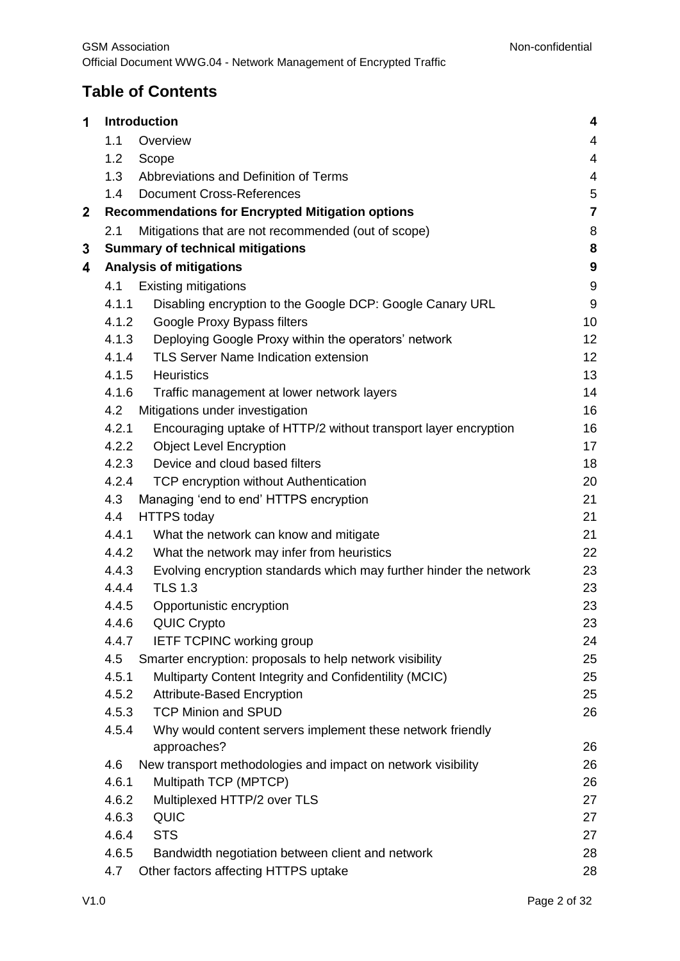# **Table of Contents**

|       |                                                                    | 4                                                                                                                                                                                                                                                                                                                                                                                                                                                                                        |
|-------|--------------------------------------------------------------------|------------------------------------------------------------------------------------------------------------------------------------------------------------------------------------------------------------------------------------------------------------------------------------------------------------------------------------------------------------------------------------------------------------------------------------------------------------------------------------------|
| 1.1   | Overview                                                           | 4                                                                                                                                                                                                                                                                                                                                                                                                                                                                                        |
| 1.2   | Scope                                                              | 4                                                                                                                                                                                                                                                                                                                                                                                                                                                                                        |
| 1.3   | Abbreviations and Definition of Terms                              | 4                                                                                                                                                                                                                                                                                                                                                                                                                                                                                        |
| 1.4   | <b>Document Cross-References</b>                                   | $\sqrt{5}$                                                                                                                                                                                                                                                                                                                                                                                                                                                                               |
|       |                                                                    | $\overline{7}$                                                                                                                                                                                                                                                                                                                                                                                                                                                                           |
| 2.1   | Mitigations that are not recommended (out of scope)                | 8                                                                                                                                                                                                                                                                                                                                                                                                                                                                                        |
|       |                                                                    | 8                                                                                                                                                                                                                                                                                                                                                                                                                                                                                        |
|       |                                                                    | $\boldsymbol{9}$                                                                                                                                                                                                                                                                                                                                                                                                                                                                         |
| 4.1   | <b>Existing mitigations</b>                                        | $9\,$                                                                                                                                                                                                                                                                                                                                                                                                                                                                                    |
| 4.1.1 | Disabling encryption to the Google DCP: Google Canary URL          | $9\,$                                                                                                                                                                                                                                                                                                                                                                                                                                                                                    |
|       | Google Proxy Bypass filters                                        | 10                                                                                                                                                                                                                                                                                                                                                                                                                                                                                       |
| 4.1.3 | Deploying Google Proxy within the operators' network               | 12                                                                                                                                                                                                                                                                                                                                                                                                                                                                                       |
| 4.1.4 | TLS Server Name Indication extension                               | 12                                                                                                                                                                                                                                                                                                                                                                                                                                                                                       |
| 4.1.5 | <b>Heuristics</b>                                                  | 13                                                                                                                                                                                                                                                                                                                                                                                                                                                                                       |
| 4.1.6 | Traffic management at lower network layers                         | 14                                                                                                                                                                                                                                                                                                                                                                                                                                                                                       |
| 4.2   | Mitigations under investigation                                    | 16                                                                                                                                                                                                                                                                                                                                                                                                                                                                                       |
| 4.2.1 | Encouraging uptake of HTTP/2 without transport layer encryption    | 16                                                                                                                                                                                                                                                                                                                                                                                                                                                                                       |
|       | <b>Object Level Encryption</b>                                     | 17                                                                                                                                                                                                                                                                                                                                                                                                                                                                                       |
|       | Device and cloud based filters                                     | 18                                                                                                                                                                                                                                                                                                                                                                                                                                                                                       |
|       | TCP encryption without Authentication                              | 20                                                                                                                                                                                                                                                                                                                                                                                                                                                                                       |
| 4.3   | Managing 'end to end' HTTPS encryption                             | 21                                                                                                                                                                                                                                                                                                                                                                                                                                                                                       |
| 4.4   | <b>HTTPS</b> today                                                 | 21                                                                                                                                                                                                                                                                                                                                                                                                                                                                                       |
| 4.4.1 | What the network can know and mitigate                             | 21                                                                                                                                                                                                                                                                                                                                                                                                                                                                                       |
|       | What the network may infer from heuristics                         | 22                                                                                                                                                                                                                                                                                                                                                                                                                                                                                       |
| 4.4.3 | Evolving encryption standards which may further hinder the network | 23                                                                                                                                                                                                                                                                                                                                                                                                                                                                                       |
| 4.4.4 |                                                                    | 23                                                                                                                                                                                                                                                                                                                                                                                                                                                                                       |
| 4.4.5 | Opportunistic encryption                                           | 23                                                                                                                                                                                                                                                                                                                                                                                                                                                                                       |
| 4.4.6 |                                                                    | 23                                                                                                                                                                                                                                                                                                                                                                                                                                                                                       |
| 4.4.7 |                                                                    | 24                                                                                                                                                                                                                                                                                                                                                                                                                                                                                       |
|       | Smarter encryption: proposals to help network visibility           | 25                                                                                                                                                                                                                                                                                                                                                                                                                                                                                       |
|       |                                                                    | 25                                                                                                                                                                                                                                                                                                                                                                                                                                                                                       |
|       |                                                                    | 25                                                                                                                                                                                                                                                                                                                                                                                                                                                                                       |
|       |                                                                    | 26                                                                                                                                                                                                                                                                                                                                                                                                                                                                                       |
|       | approaches?                                                        | 26                                                                                                                                                                                                                                                                                                                                                                                                                                                                                       |
| 4.6   | New transport methodologies and impact on network visibility       | 26                                                                                                                                                                                                                                                                                                                                                                                                                                                                                       |
| 4.6.1 | Multipath TCP (MPTCP)                                              | 26                                                                                                                                                                                                                                                                                                                                                                                                                                                                                       |
| 4.6.2 | Multiplexed HTTP/2 over TLS                                        | 27                                                                                                                                                                                                                                                                                                                                                                                                                                                                                       |
| 4.6.3 | <b>QUIC</b>                                                        | 27                                                                                                                                                                                                                                                                                                                                                                                                                                                                                       |
| 4.6.4 | <b>STS</b>                                                         | 27                                                                                                                                                                                                                                                                                                                                                                                                                                                                                       |
| 4.6.5 | Bandwidth negotiation between client and network                   | 28                                                                                                                                                                                                                                                                                                                                                                                                                                                                                       |
| 4.7   | Other factors affecting HTTPS uptake                               | 28                                                                                                                                                                                                                                                                                                                                                                                                                                                                                       |
|       | 4.5<br>4.5.1<br>4.5.3<br>4.5.4                                     | <b>Introduction</b><br><b>Recommendations for Encrypted Mitigation options</b><br><b>Summary of technical mitigations</b><br><b>Analysis of mitigations</b><br>4.1.2<br>4.2.2<br>4.2.3<br>4.2.4<br>4.4.2<br><b>TLS 1.3</b><br><b>QUIC Crypto</b><br><b>IETF TCPINC working group</b><br>Multiparty Content Integrity and Confidentility (MCIC)<br>4.5.2<br><b>Attribute-Based Encryption</b><br><b>TCP Minion and SPUD</b><br>Why would content servers implement these network friendly |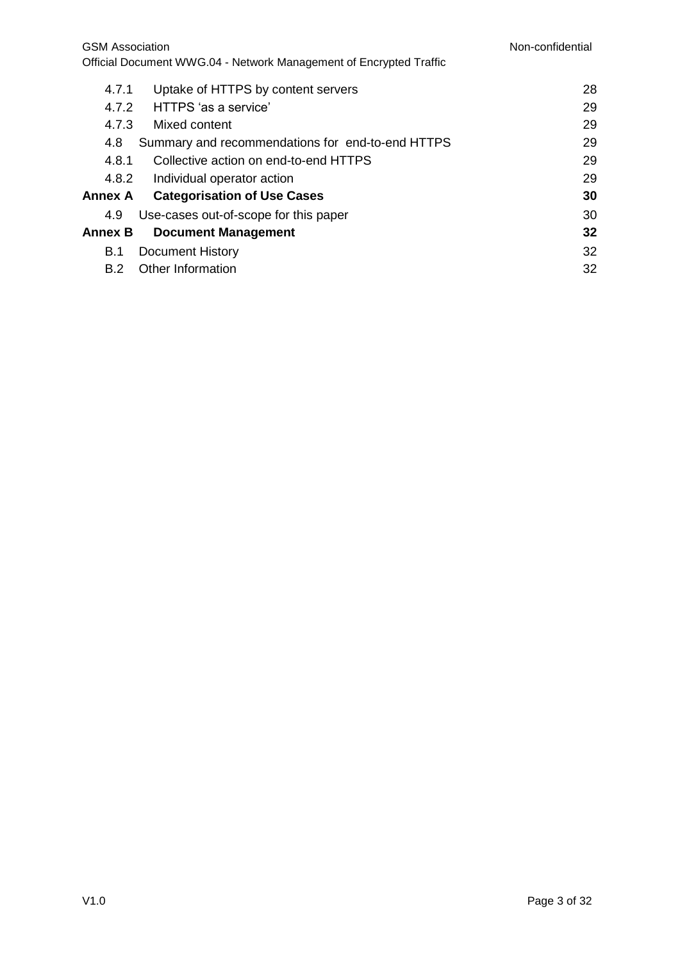| 4.7.1   | Uptake of HTTPS by content servers               | 28 |
|---------|--------------------------------------------------|----|
| 4.7.2   | HTTPS 'as a service'                             | 29 |
| 4.7.3   | Mixed content                                    | 29 |
| 4.8     | Summary and recommendations for end-to-end HTTPS | 29 |
| 4.8.1   | Collective action on end-to-end HTTPS            | 29 |
|         | 4.8.2 Individual operator action                 | 29 |
| Annex A | <b>Categorisation of Use Cases</b>               | 30 |
| 4.9     | Use-cases out-of-scope for this paper            | 30 |
| Annex B | <b>Document Management</b>                       | 32 |
| B.1     | Document History                                 | 32 |
| B.2     | Other Information                                | 32 |
|         |                                                  |    |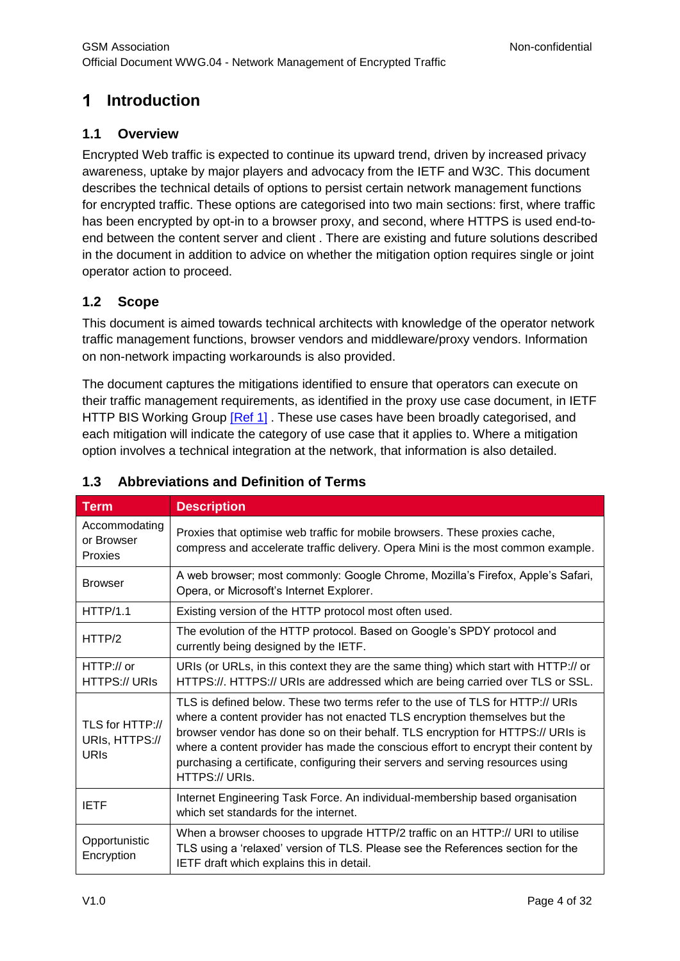#### <span id="page-3-0"></span> $\blacktriangleleft$ **Introduction**

# <span id="page-3-1"></span>**1.1 Overview**

Encrypted Web traffic is expected to continue its upward trend, driven by increased privacy awareness, uptake by major players and advocacy from the IETF and W3C. This document describes the technical details of options to persist certain network management functions for encrypted traffic. These options are categorised into two main sections: first, where traffic has been encrypted by opt-in to a browser proxy, and second, where HTTPS is used end-toend between the content server and client . There are existing and future solutions described in the document in addition to advice on whether the mitigation option requires single or joint operator action to proceed.

# <span id="page-3-2"></span>**1.2 Scope**

This document is aimed towards technical architects with knowledge of the operator network traffic management functions, browser vendors and middleware/proxy vendors. Information on non-network impacting workarounds is also provided.

The document captures the mitigations identified to ensure that operators can execute on their traffic management requirements, as identified in the proxy use case document, in IETF HTTP BIS Working Group [\[Ref 1\]](#page-4-1). These use cases have been broadly categorised, and each mitigation will indicate the category of use case that it applies to. Where a mitigation option involves a technical integration at the network, that information is also detailed.

| <b>Term</b>                                      | <b>Description</b>                                                                                                                                                                                                                                                                                                                                                                                                                         |
|--------------------------------------------------|--------------------------------------------------------------------------------------------------------------------------------------------------------------------------------------------------------------------------------------------------------------------------------------------------------------------------------------------------------------------------------------------------------------------------------------------|
| Accommodating<br>or Browser<br>Proxies           | Proxies that optimise web traffic for mobile browsers. These proxies cache,<br>compress and accelerate traffic delivery. Opera Mini is the most common example.                                                                                                                                                                                                                                                                            |
| <b>Browser</b>                                   | A web browser; most commonly: Google Chrome, Mozilla's Firefox, Apple's Safari,<br>Opera, or Microsoft's Internet Explorer.                                                                                                                                                                                                                                                                                                                |
| <b>HTTP/1.1</b>                                  | Existing version of the HTTP protocol most often used.                                                                                                                                                                                                                                                                                                                                                                                     |
| HTTP/2                                           | The evolution of the HTTP protocol. Based on Google's SPDY protocol and<br>currently being designed by the IETF.                                                                                                                                                                                                                                                                                                                           |
| HTTP://or<br>HTTPS:// URIs                       | URIs (or URLs, in this context they are the same thing) which start with HTTP:// or<br>HTTPS://. HTTPS:// URIs are addressed which are being carried over TLS or SSL.                                                                                                                                                                                                                                                                      |
| TLS for HTTP://<br>URIs, HTTPS://<br><b>URIS</b> | TLS is defined below. These two terms refer to the use of TLS for HTTP:// URIs<br>where a content provider has not enacted TLS encryption themselves but the<br>browser vendor has done so on their behalf. TLS encryption for HTTPS:// URIs is<br>where a content provider has made the conscious effort to encrypt their content by<br>purchasing a certificate, configuring their servers and serving resources using<br>HTTPS:// URIs. |
| <b>IETF</b>                                      | Internet Engineering Task Force. An individual-membership based organisation<br>which set standards for the internet.                                                                                                                                                                                                                                                                                                                      |
| Opportunistic<br>Encryption                      | When a browser chooses to upgrade HTTP/2 traffic on an HTTP:// URI to utilise<br>TLS using a 'relaxed' version of TLS. Please see the References section for the<br>IETF draft which explains this in detail.                                                                                                                                                                                                                              |

# <span id="page-3-3"></span>**1.3 Abbreviations and Definition of Terms**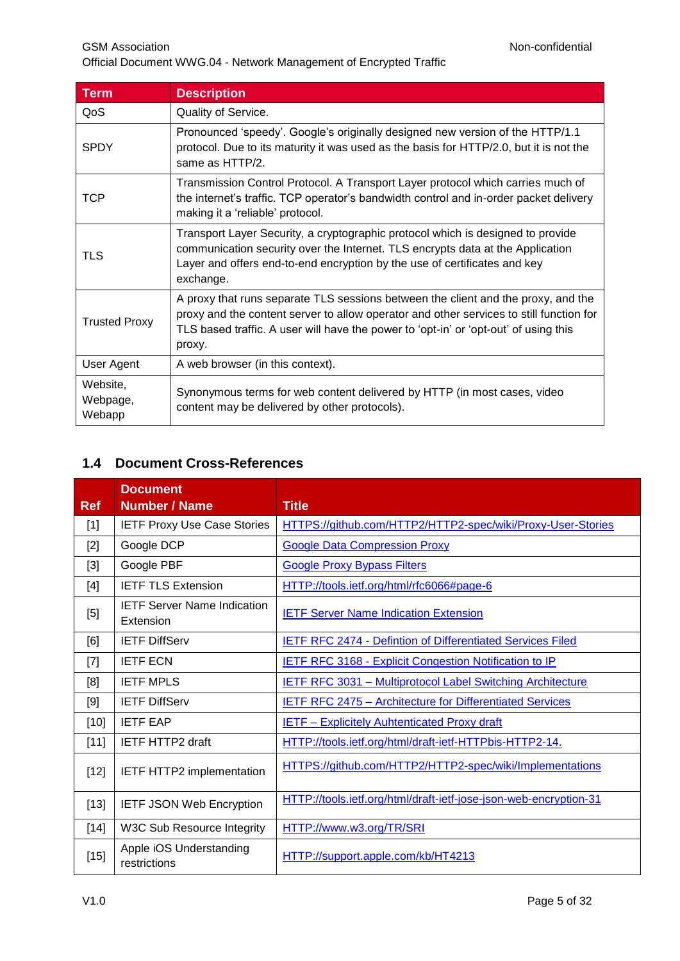GSM Association **Non-confidential** Official Document WWG.04 - Network Management of Encrypted Traffic

| Term                           | <b>Description</b>                                                                                                                                                                                                                                                             |
|--------------------------------|--------------------------------------------------------------------------------------------------------------------------------------------------------------------------------------------------------------------------------------------------------------------------------|
| QoS                            | Quality of Service.                                                                                                                                                                                                                                                            |
| <b>SPDY</b>                    | Pronounced 'speedy'. Google's originally designed new version of the HTTP/1.1<br>protocol. Due to its maturity it was used as the basis for HTTP/2.0, but it is not the<br>same as HTTP/2.                                                                                     |
| TCP                            | Transmission Control Protocol. A Transport Layer protocol which carries much of<br>the internet's traffic. TCP operator's bandwidth control and in-order packet delivery<br>making it a 'reliable' protocol.                                                                   |
| TLS                            | Transport Layer Security, a cryptographic protocol which is designed to provide<br>communication security over the Internet. TLS encrypts data at the Application<br>Layer and offers end-to-end encryption by the use of certificates and key<br>exchange.                    |
| <b>Trusted Proxy</b>           | A proxy that runs separate TLS sessions between the client and the proxy, and the<br>proxy and the content server to allow operator and other services to still function for<br>TLS based traffic. A user will have the power to 'opt-in' or 'opt-out' of using this<br>proxy. |
| User Agent                     | A web browser (in this context).                                                                                                                                                                                                                                               |
| Website,<br>Webpage,<br>Webapp | Synonymous terms for web content delivered by HTTP (in most cases, video<br>content may be delivered by other protocols).                                                                                                                                                      |

# <span id="page-4-1"></span><span id="page-4-0"></span>**1.4 Document Cross-References**

| <b>Ref</b> | <b>Document</b><br><b>Number / Name</b>         | <b>Title</b>                                                      |
|------------|-------------------------------------------------|-------------------------------------------------------------------|
| $[1]$      | <b>IETF Proxy Use Case Stories</b>              | HTTPS://github.com/HTTP2/HTTP2-spec/wiki/Proxy-User-Stories       |
| $[2]$      | Google DCP                                      | <b>Google Data Compression Proxy</b>                              |
| $[3]$      | Google PBF                                      | <b>Google Proxy Bypass Filters</b>                                |
| [4]        | <b>IETF TLS Extension</b>                       | HTTP://tools.ietf.org/html/rfc6066#page-6                         |
| [5]        | <b>IETF Server Name Indication</b><br>Extension | <b>IETF Server Name Indication Extension</b>                      |
| [6]        | <b>IETF DiffServ</b>                            | <b>IETF RFC 2474 - Defintion of Differentiated Services Filed</b> |
| $[7]$      | <b>IETF ECN</b>                                 | <b>IETF RFC 3168 - Explicit Congestion Notification to IP</b>     |
| [8]        | <b>IETF MPLS</b>                                | <b>IETF RFC 3031 - Multiprotocol Label Switching Architecture</b> |
| [9]        | <b>IETF DiffServ</b>                            | IETF RFC 2475 - Architecture for Differentiated Services          |
| $[10]$     | <b>IETF EAP</b>                                 | <b>IETF - Explicitely Auhtenticated Proxy draft</b>               |
| $[11]$     | <b>IETF HTTP2 draft</b>                         | HTTP://tools.ietf.org/html/draft-ietf-HTTPbis-HTTP2-14.           |
| $[12]$     | IETF HTTP2 implementation                       | HTTPS://github.com/HTTP2/HTTP2-spec/wiki/Implementations          |
| $[13]$     | <b>IETF JSON Web Encryption</b>                 | HTTP://tools.ietf.org/html/draft-ietf-jose-json-web-encryption-31 |
| $[14]$     | W3C Sub Resource Integrity                      | HTTP://www.w3.org/TR/SRI                                          |
| $[15]$     | Apple iOS Understanding<br>restrictions         | HTTP://support.apple.com/kb/HT4213                                |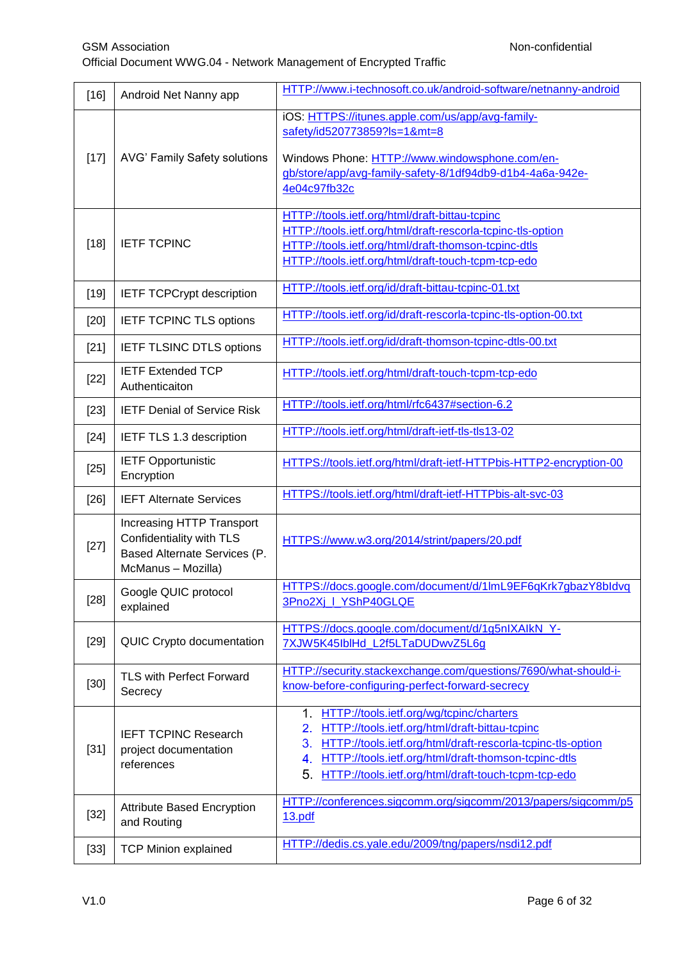| $[16]$ | Android Net Nanny app                                                                                       | HTTP://www.i-technosoft.co.uk/android-software/netnanny-android                                                                                                                                                                                                                                                    |
|--------|-------------------------------------------------------------------------------------------------------------|--------------------------------------------------------------------------------------------------------------------------------------------------------------------------------------------------------------------------------------------------------------------------------------------------------------------|
| $[17]$ | AVG' Family Safety solutions                                                                                | iOS: HTTPS://itunes.apple.com/us/app/avg-family-<br>safety/id520773859?ls=1&mt=8<br>Windows Phone: HTTP://www.windowsphone.com/en-                                                                                                                                                                                 |
|        |                                                                                                             | gb/store/app/avg-family-safety-8/1df94db9-d1b4-4a6a-942e-<br>4e04c97fb32c                                                                                                                                                                                                                                          |
| $[18]$ | <b>IETF TCPINC</b>                                                                                          | HTTP://tools.ietf.org/html/draft-bittau-tcpinc<br>HTTP://tools.ietf.org/html/draft-rescorla-tcpinc-tls-option<br>HTTP://tools.ietf.org/html/draft-thomson-tcpinc-dtls<br>HTTP://tools.ietf.org/html/draft-touch-tcpm-tcp-edo                                                                                       |
| $[19]$ | <b>IETF TCPCrypt description</b>                                                                            | HTTP://tools.ietf.org/id/draft-bittau-tcpinc-01.txt                                                                                                                                                                                                                                                                |
| $[20]$ | <b>IETF TCPINC TLS options</b>                                                                              | HTTP://tools.ietf.org/id/draft-rescorla-tcpinc-tls-option-00.txt                                                                                                                                                                                                                                                   |
| $[21]$ | <b>IETF TLSINC DTLS options</b>                                                                             | HTTP://tools.ietf.org/id/draft-thomson-tcpinc-dtls-00.txt                                                                                                                                                                                                                                                          |
| $[22]$ | <b>IETF Extended TCP</b><br>Authenticaiton                                                                  | HTTP://tools.ietf.org/html/draft-touch-tcpm-tcp-edo                                                                                                                                                                                                                                                                |
| $[23]$ | <b>IETF Denial of Service Risk</b>                                                                          | HTTP://tools.ietf.org/html/rfc6437#section-6.2                                                                                                                                                                                                                                                                     |
| $[24]$ | IETF TLS 1.3 description                                                                                    | HTTP://tools.ietf.org/html/draft-ietf-tls-tls13-02                                                                                                                                                                                                                                                                 |
| $[25]$ | <b>IETF Opportunistic</b><br>Encryption                                                                     | HTTPS://tools.ietf.org/html/draft-ietf-HTTPbis-HTTP2-encryption-00                                                                                                                                                                                                                                                 |
| $[26]$ | <b>IEFT Alternate Services</b>                                                                              | HTTPS://tools.ietf.org/html/draft-ietf-HTTPbis-alt-svc-03                                                                                                                                                                                                                                                          |
| $[27]$ | Increasing HTTP Transport<br>Confidentiality with TLS<br>Based Alternate Services (P.<br>McManus - Mozilla) | HTTPS://www.w3.org/2014/strint/papers/20.pdf                                                                                                                                                                                                                                                                       |
| $[28]$ | Google QUIC protocol<br>explained                                                                           | HTTPS://docs.google.com/document/d/1lmL9EF6qKrk7gbazY8bldvq<br>3Pno2Xj_I_YShP40GLQE                                                                                                                                                                                                                                |
| $[29]$ | QUIC Crypto documentation                                                                                   | HTTPS://docs.google.com/document/d/1g5nIXAIkN_Y-<br>7XJW5K45IblHd_L2f5LTaDUDwvZ5L6g                                                                                                                                                                                                                                |
| $[30]$ | <b>TLS with Perfect Forward</b><br>Secrecy                                                                  | HTTP://security.stackexchange.com/questions/7690/what-should-i-<br>know-before-configuring-perfect-forward-secrecy                                                                                                                                                                                                 |
| $[31]$ | <b>IEFT TCPINC Research</b><br>project documentation<br>references                                          | HTTP://tools.ietf.org/wg/tcpinc/charters<br>1 <sup>1</sup><br>2.<br>HTTP://tools.ietf.org/html/draft-bittau-tcpinc<br>HTTP://tools.ietf.org/html/draft-rescorla-tcpinc-tls-option<br>3.<br>HTTP://tools.ietf.org/html/draft-thomson-tcpinc-dtls<br>4.<br>5.<br>HTTP://tools.ietf.org/html/draft-touch-tcpm-tcp-edo |
| $[32]$ | Attribute Based Encryption<br>and Routing                                                                   | HTTP://conferences.sigcomm.org/sigcomm/2013/papers/sigcomm/p5<br><u>13.pdf</u>                                                                                                                                                                                                                                     |
| $[33]$ | <b>TCP Minion explained</b>                                                                                 | HTTP://dedis.cs.yale.edu/2009/tng/papers/nsdi12.pdf                                                                                                                                                                                                                                                                |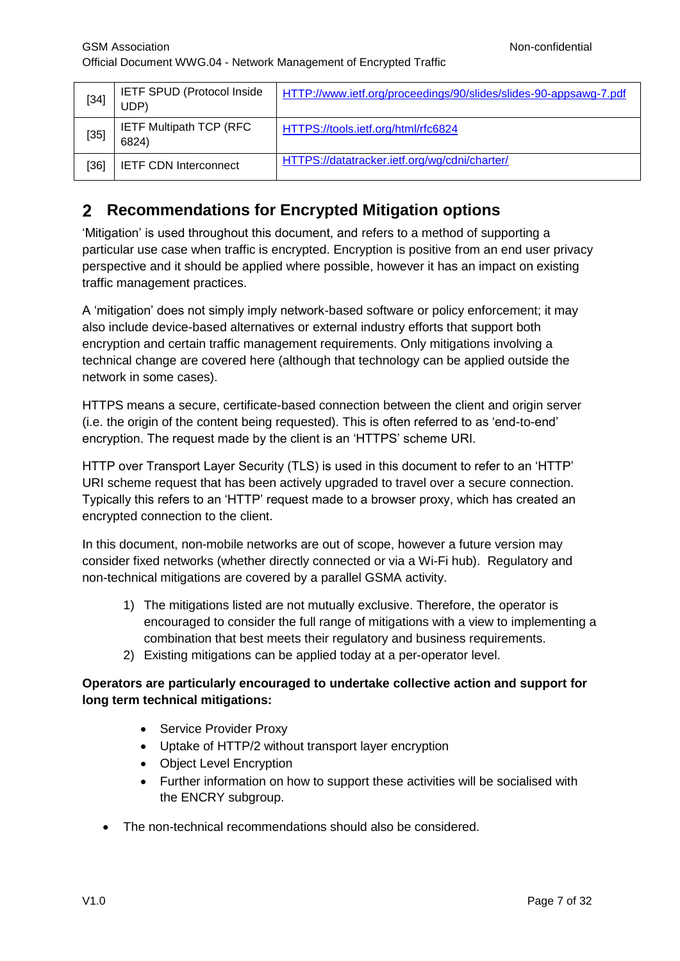| $[34]$ | <b>IETF SPUD (Protocol Inside)</b><br>UDP) | HTTP://www.ietf.org/proceedings/90/slides/slides-90-appsawg-7.pdf |
|--------|--------------------------------------------|-------------------------------------------------------------------|
| $[35]$ | <b>IETF Multipath TCP (RFC)</b><br>6824)   | HTTPS://tools.ietf.org/html/rfc6824                               |
| [36]   | <b>IETF CDN Interconnect</b>               | HTTPS://datatracker.ietf.org/wg/cdni/charter/                     |

# <span id="page-6-0"></span>**Recommendations for Encrypted Mitigation options**

'Mitigation' is used throughout this document, and refers to a method of supporting a particular use case when traffic is encrypted. Encryption is positive from an end user privacy perspective and it should be applied where possible, however it has an impact on existing traffic management practices.

A 'mitigation' does not simply imply network-based software or policy enforcement; it may also include device-based alternatives or external industry efforts that support both encryption and certain traffic management requirements. Only mitigations involving a technical change are covered here (although that technology can be applied outside the network in some cases).

HTTPS means a secure, certificate-based connection between the client and origin server (i.e. the origin of the content being requested). This is often referred to as 'end-to-end' encryption. The request made by the client is an 'HTTPS' scheme URI.

HTTP over Transport Layer Security (TLS) is used in this document to refer to an 'HTTP' URI scheme request that has been actively upgraded to travel over a secure connection. Typically this refers to an 'HTTP' request made to a browser proxy, which has created an encrypted connection to the client.

In this document, non-mobile networks are out of scope, however a future version may consider fixed networks (whether directly connected or via a Wi-Fi hub). Regulatory and non-technical mitigations are covered by a parallel GSMA activity.

- 1) The mitigations listed are not mutually exclusive. Therefore, the operator is encouraged to consider the full range of mitigations with a view to implementing a combination that best meets their regulatory and business requirements.
- 2) Existing mitigations can be applied today at a per-operator level.

### **Operators are particularly encouraged to undertake collective action and support for long term technical mitigations:**

- Service Provider Proxy
- Uptake of HTTP/2 without transport layer encryption
- Object Level Encryption
- Further information on how to support these activities will be socialised with the ENCRY subgroup.
- The non-technical recommendations should also be considered.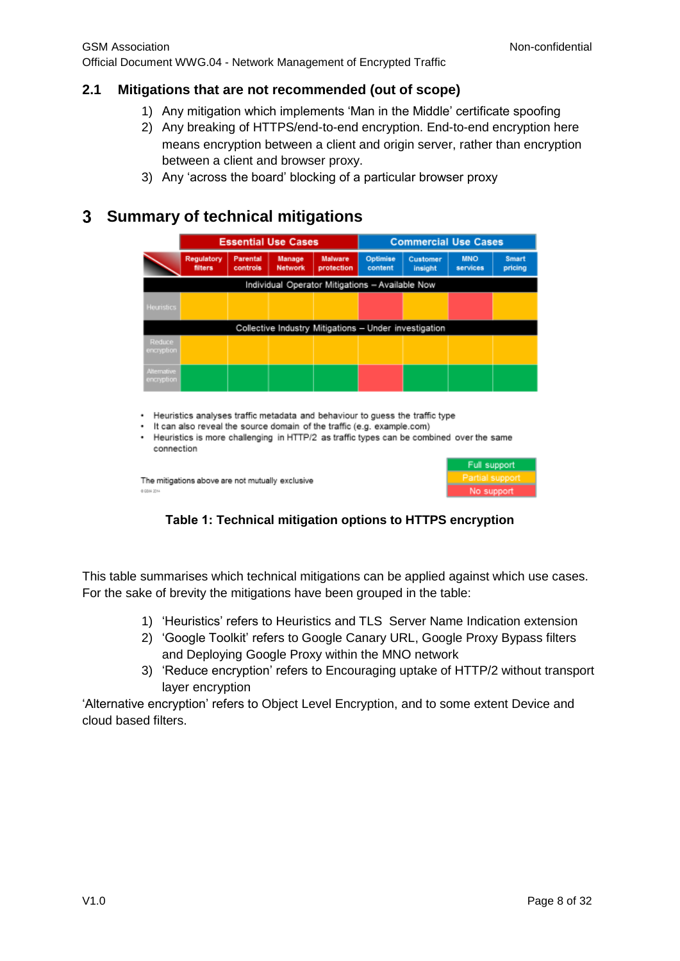### <span id="page-7-0"></span>**2.1 Mitigations that are not recommended (out of scope)**

- 1) Any mitigation which implements 'Man in the Middle' certificate spoofing
- 2) Any breaking of HTTPS/end-to-end encryption. End-to-end encryption here means encryption between a client and origin server, rather than encryption between a client and browser proxy.
- 3) Any 'across the board' blocking of a particular browser proxy

# <span id="page-7-1"></span>**Summary of technical mitigations**

|                                                                                                                                                                                                                                                                                                              | <b>Essential Use Cases</b> |                      |                   | <b>Commercial Use Cases</b>  |                                                       |                     |                        |                         |
|--------------------------------------------------------------------------------------------------------------------------------------------------------------------------------------------------------------------------------------------------------------------------------------------------------------|----------------------------|----------------------|-------------------|------------------------------|-------------------------------------------------------|---------------------|------------------------|-------------------------|
|                                                                                                                                                                                                                                                                                                              | Regulatory<br>filters      | Parental<br>controls | Manage<br>Network | <b>Malware</b><br>protection | Optimise<br>content                                   | Customer<br>insight | <b>MNO</b><br>services | <b>Smart</b><br>pricing |
|                                                                                                                                                                                                                                                                                                              |                            |                      |                   |                              | Individual Operator Mitigations - Available Now       |                     |                        |                         |
| Heuristics                                                                                                                                                                                                                                                                                                   |                            |                      |                   |                              |                                                       |                     |                        |                         |
|                                                                                                                                                                                                                                                                                                              |                            |                      |                   |                              | Collective Industry Mitigations - Under investigation |                     |                        |                         |
| <b>Reduce</b><br>encryption                                                                                                                                                                                                                                                                                  |                            |                      |                   |                              |                                                       |                     |                        |                         |
| Alternative<br>encryption                                                                                                                                                                                                                                                                                    |                            |                      |                   |                              |                                                       |                     |                        |                         |
| Heuristics analyses traffic metadata and behaviour to guess the traffic type<br>٠<br>It can also reveal the source domain of the traffic (e.g. example.com)<br>٠<br>Heuristics is more challenging in HTTP/2 as traffic types can be combined over the same<br>٠<br>connection<br><b>Collins and College</b> |                            |                      |                   |                              |                                                       |                     |                        |                         |

The mitigations above are not mutually exclusive 0.00m 201

| Full support    |  |  |
|-----------------|--|--|
| Partia<br>suppo |  |  |
| No support      |  |  |

### **Table 1: Technical mitigation options to HTTPS encryption**

This table summarises which technical mitigations can be applied against which use cases. For the sake of brevity the mitigations have been grouped in the table:

- 1) 'Heuristics' refers to Heuristics and TLS Server Name Indication extension
- 2) 'Google Toolkit' refers to Google Canary URL, Google Proxy Bypass filters and Deploying Google Proxy within the MNO network
- 3) 'Reduce encryption' refers to Encouraging uptake of HTTP/2 without transport layer encryption

'Alternative encryption' refers to Object Level Encryption, and to some extent Device and cloud based filters.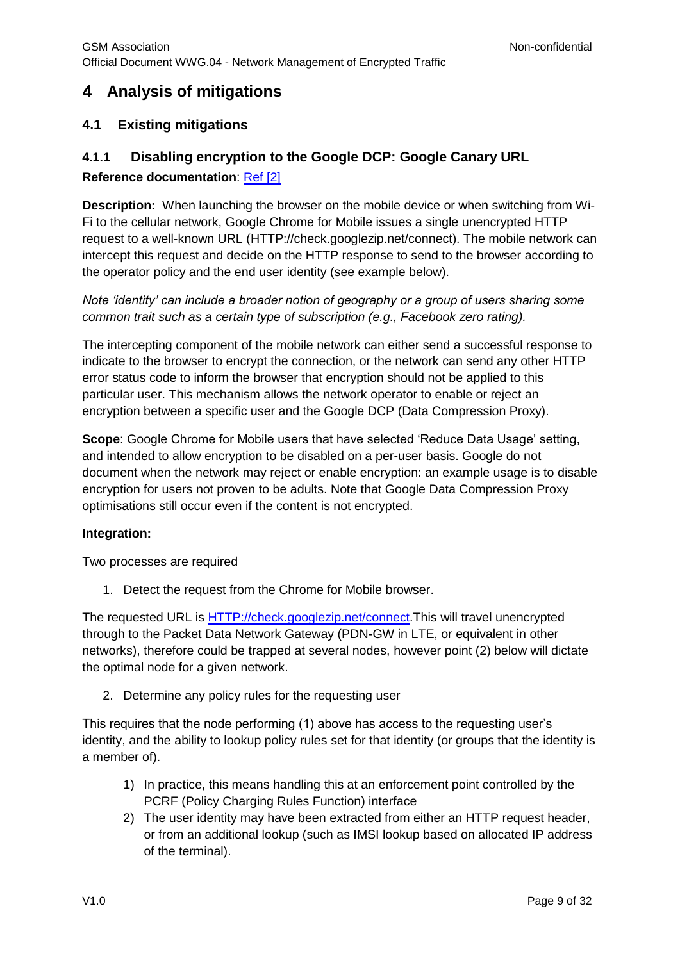# <span id="page-8-0"></span>**Analysis of mitigations**

# <span id="page-8-1"></span>**4.1 Existing mitigations**

# <span id="page-8-2"></span>**4.1.1 Disabling encryption to the Google DCP: Google Canary URL**

### **Reference documentation**: [Ref](#page-6-0) [2]

**Description:** When launching the browser on the mobile device or when switching from Wi-Fi to the cellular network, Google Chrome for Mobile issues a single unencrypted HTTP request to a well-known URL (HTTP://check.googlezip.net/connect). The mobile network can intercept this request and decide on the HTTP response to send to the browser according to the operator policy and the end user identity (see example below).

*Note 'identity' can include a broader notion of geography or a group of users sharing some common trait such as a certain type of subscription (e.g., Facebook zero rating).*

The intercepting component of the mobile network can either send a successful response to indicate to the browser to encrypt the connection, or the network can send any other HTTP error status code to inform the browser that encryption should not be applied to this particular user. This mechanism allows the network operator to enable or reject an encryption between a specific user and the Google DCP (Data Compression Proxy).

**Scope**: Google Chrome for Mobile users that have selected 'Reduce Data Usage' setting, and intended to allow encryption to be disabled on a per-user basis. Google do not document when the network may reject or enable encryption: an example usage is to disable encryption for users not proven to be adults. Note that Google Data Compression Proxy optimisations still occur even if the content is not encrypted.

#### **Integration:**

Two processes are required

1. Detect the request from the Chrome for Mobile browser.

The requested URL is [HTTP://check.googlezip.net/connect.](http://check.googlezip.net/connect)This will travel unencrypted through to the Packet Data Network Gateway (PDN-GW in LTE, or equivalent in other networks), therefore could be trapped at several nodes, however point (2) below will dictate the optimal node for a given network.

2. Determine any policy rules for the requesting user

This requires that the node performing (1) above has access to the requesting user's identity, and the ability to lookup policy rules set for that identity (or groups that the identity is a member of).

- 1) In practice, this means handling this at an enforcement point controlled by the PCRF (Policy Charging Rules Function) interface
- 2) The user identity may have been extracted from either an HTTP request header, or from an additional lookup (such as IMSI lookup based on allocated IP address of the terminal).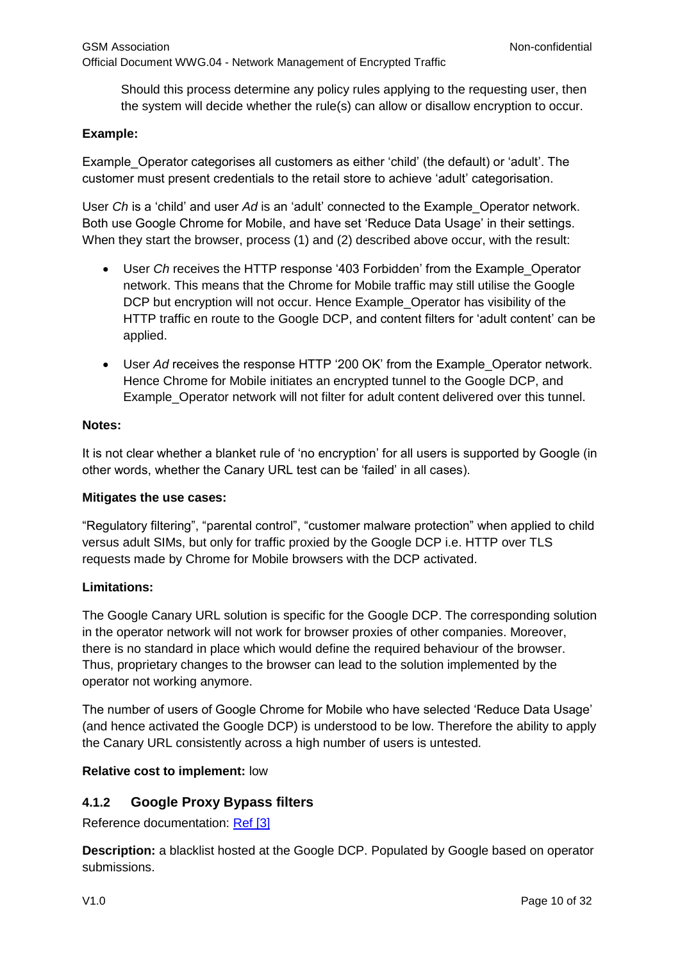Should this process determine any policy rules applying to the requesting user, then the system will decide whether the rule(s) can allow or disallow encryption to occur.

#### **Example:**

Example\_Operator categorises all customers as either 'child' (the default) or 'adult'. The customer must present credentials to the retail store to achieve 'adult' categorisation.

User *Ch* is a 'child' and user *Ad* is an 'adult' connected to the Example\_Operator network. Both use Google Chrome for Mobile, and have set 'Reduce Data Usage' in their settings. When they start the browser, process (1) and (2) described above occur, with the result:

- User *Ch* receives the HTTP response '403 Forbidden' from the Example\_Operator network. This means that the Chrome for Mobile traffic may still utilise the Google DCP but encryption will not occur. Hence Example\_Operator has visibility of the HTTP traffic en route to the Google DCP, and content filters for 'adult content' can be applied.
- User *Ad* receives the response HTTP '200 OK' from the Example\_Operator network. Hence Chrome for Mobile initiates an encrypted tunnel to the Google DCP, and Example\_Operator network will not filter for adult content delivered over this tunnel.

#### **Notes:**

It is not clear whether a blanket rule of 'no encryption' for all users is supported by Google (in other words, whether the Canary URL test can be 'failed' in all cases).

#### **Mitigates the use cases:**

"Regulatory filtering", "parental control", "customer malware protection" when applied to child versus adult SIMs, but only for traffic proxied by the Google DCP i.e. HTTP over TLS requests made by Chrome for Mobile browsers with the DCP activated.

#### **Limitations:**

The Google Canary URL solution is specific for the Google DCP. The corresponding solution in the operator network will not work for browser proxies of other companies. Moreover, there is no standard in place which would define the required behaviour of the browser. Thus, proprietary changes to the browser can lead to the solution implemented by the operator not working anymore.

The number of users of Google Chrome for Mobile who have selected 'Reduce Data Usage' (and hence activated the Google DCP) is understood to be low. Therefore the ability to apply the Canary URL consistently across a high number of users is untested.

#### **Relative cost to implement:** low

#### <span id="page-9-0"></span>**4.1.2 Google Proxy Bypass filters**

Reference documentation: [Ref](#page-6-0) [3]

**Description:** a blacklist hosted at the Google DCP. Populated by Google based on operator submissions.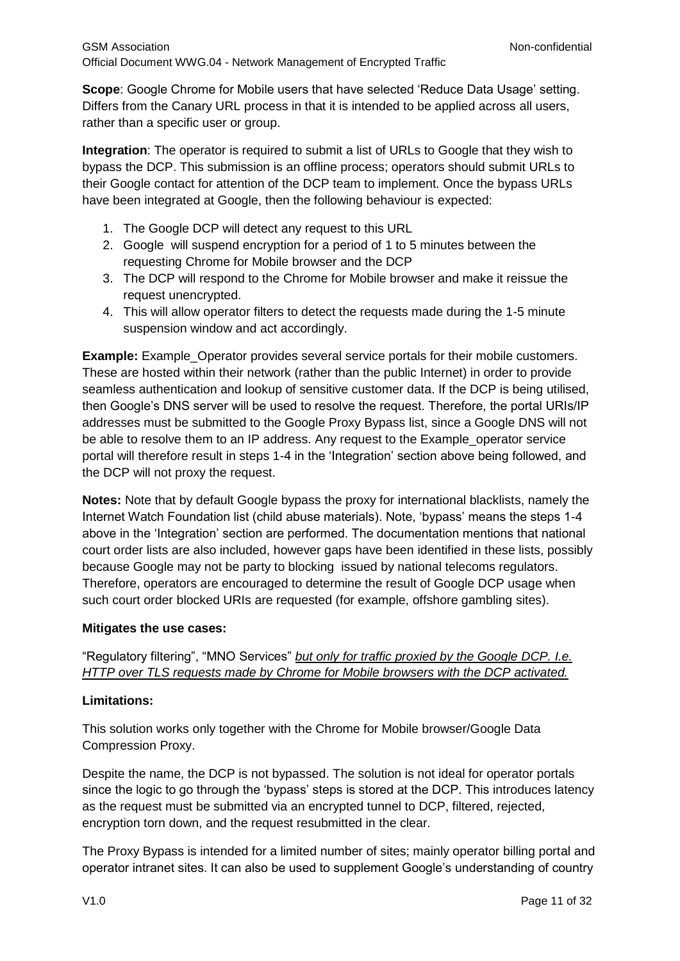**Scope**: Google Chrome for Mobile users that have selected 'Reduce Data Usage' setting. Differs from the Canary URL process in that it is intended to be applied across all users, rather than a specific user or group.

**Integration**: The operator is required to submit a list of URLs to Google that they wish to bypass the DCP. This submission is an offline process; operators should submit URLs to their Google contact for attention of the DCP team to implement. Once the bypass URLs have been integrated at Google, then the following behaviour is expected:

- 1. The Google DCP will detect any request to this URL
- 2. Google will suspend encryption for a period of 1 to 5 minutes between the requesting Chrome for Mobile browser and the DCP
- 3. The DCP will respond to the Chrome for Mobile browser and make it reissue the request unencrypted.
- 4. This will allow operator filters to detect the requests made during the 1-5 minute suspension window and act accordingly.

**Example:** Example Operator provides several service portals for their mobile customers. These are hosted within their network (rather than the public Internet) in order to provide seamless authentication and lookup of sensitive customer data. If the DCP is being utilised, then Google's DNS server will be used to resolve the request. Therefore, the portal URIs/IP addresses must be submitted to the Google Proxy Bypass list, since a Google DNS will not be able to resolve them to an IP address. Any request to the Example\_operator service portal will therefore result in steps 1-4 in the 'Integration' section above being followed, and the DCP will not proxy the request.

**Notes:** Note that by default Google bypass the proxy for international blacklists, namely the Internet Watch Foundation list (child abuse materials). Note, 'bypass' means the steps 1-4 above in the 'Integration' section are performed. The documentation mentions that national court order lists are also included, however gaps have been identified in these lists, possibly because Google may not be party to blocking issued by national telecoms regulators. Therefore, operators are encouraged to determine the result of Google DCP usage when such court order blocked URIs are requested (for example, offshore gambling sites).

#### **Mitigates the use cases:**

### "Regulatory filtering", "MNO Services" *but only for traffic proxied by the Google DCP. I.e. HTTP over TLS requests made by Chrome for Mobile browsers with the DCP activated.*

#### **Limitations:**

This solution works only together with the Chrome for Mobile browser/Google Data Compression Proxy.

Despite the name, the DCP is not bypassed. The solution is not ideal for operator portals since the logic to go through the 'bypass' steps is stored at the DCP. This introduces latency as the request must be submitted via an encrypted tunnel to DCP, filtered, rejected, encryption torn down, and the request resubmitted in the clear.

The Proxy Bypass is intended for a limited number of sites; mainly operator billing portal and operator intranet sites. It can also be used to supplement Google's understanding of country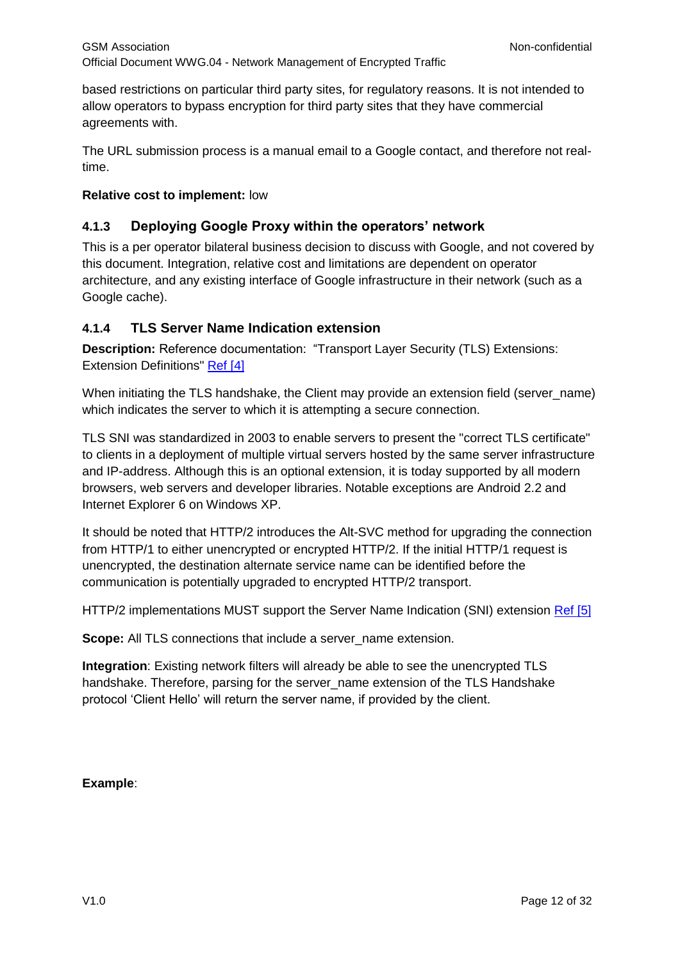based restrictions on particular third party sites, for regulatory reasons. It is not intended to allow operators to bypass encryption for third party sites that they have commercial agreements with.

The URL submission process is a manual email to a Google contact, and therefore not realtime.

#### **Relative cost to implement:** low

# <span id="page-11-0"></span>**4.1.3 Deploying Google Proxy within the operators' network**

This is a per operator bilateral business decision to discuss with Google, and not covered by this document. Integration, relative cost and limitations are dependent on operator architecture, and any existing interface of Google infrastructure in their network (such as a Google cache).

### <span id="page-11-1"></span>**4.1.4 TLS Server Name Indication extension**

**Description:** Reference documentation: "Transport Layer Security (TLS) Extensions: Extension Definitions" [Ref \[4\]](#page-6-0)

When initiating the TLS handshake, the Client may provide an extension field (server name) which indicates the server to which it is attempting a secure connection.

TLS SNI was standardized in 2003 to enable servers to present the "correct TLS certificate" to clients in a deployment of multiple virtual servers hosted by the same server infrastructure and IP-address. Although this is an optional extension, it is today supported by all modern browsers, web servers and developer libraries. Notable exceptions are Android 2.2 and Internet Explorer 6 on Windows XP.

It should be noted that HTTP/2 introduces the Alt-SVC method for upgrading the connection from HTTP/1 to either unencrypted or encrypted HTTP/2. If the initial HTTP/1 request is unencrypted, the destination alternate service name can be identified before the communication is potentially upgraded to encrypted HTTP/2 transport.

HTTP/2 implementations MUST support the Server Name Indication (SNI) extension [Ref](#page-6-0) [5]

**Scope:** All TLS connections that include a server\_name extension.

**Integration**: Existing network filters will already be able to see the unencrypted TLS handshake. Therefore, parsing for the server\_name extension of the TLS Handshake protocol 'Client Hello' will return the server name, if provided by the client.

### **Example**: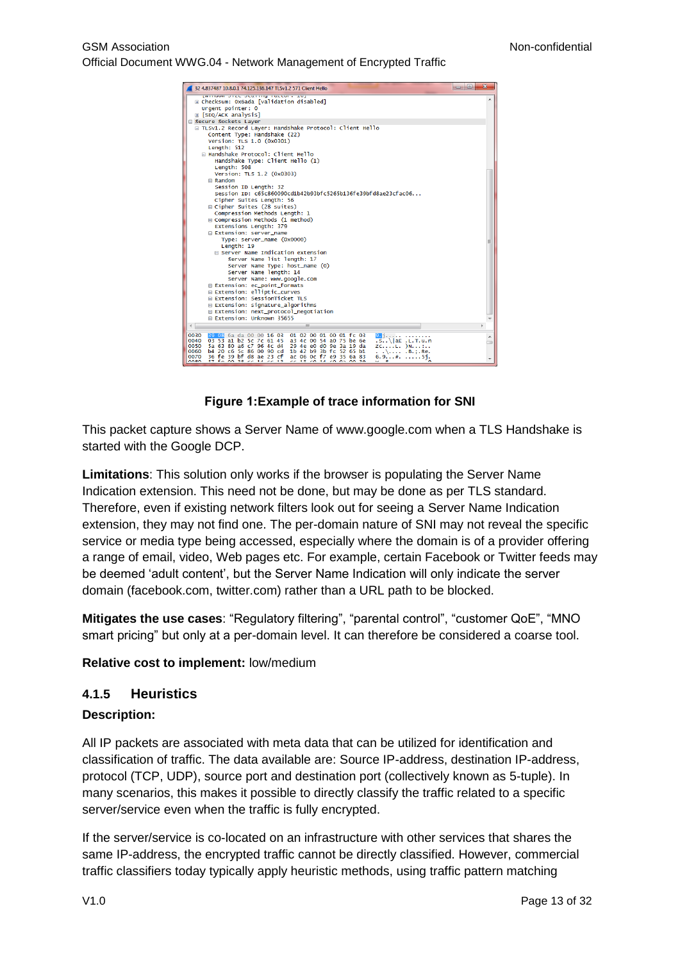

#### **Figure 1:Example of trace information for SNI**

This packet capture shows a Server Name of www.google.com when a TLS Handshake is started with the Google DCP.

**Limitations**: This solution only works if the browser is populating the Server Name Indication extension. This need not be done, but may be done as per TLS standard. Therefore, even if existing network filters look out for seeing a Server Name Indication extension, they may not find one. The per-domain nature of SNI may not reveal the specific service or media type being accessed, especially where the domain is of a provider offering a range of email, video, Web pages etc. For example, certain Facebook or Twitter feeds may be deemed 'adult content', but the Server Name Indication will only indicate the server domain (facebook.com, twitter.com) rather than a URL path to be blocked.

**Mitigates the use cases**: "Regulatory filtering", "parental control", "customer QoE", "MNO smart pricing" but only at a per-domain level. It can therefore be considered a coarse tool.

**Relative cost to implement:** low/medium

#### <span id="page-12-0"></span>**4.1.5 Heuristics**

#### **Description:**

All IP packets are associated with meta data that can be utilized for identification and classification of traffic. The data available are: Source IP-address, destination IP-address, protocol (TCP, UDP), source port and destination port (collectively known as 5-tuple). In many scenarios, this makes it possible to directly classify the traffic related to a specific server/service even when the traffic is fully encrypted.

If the server/service is co-located on an infrastructure with other services that shares the same IP-address, the encrypted traffic cannot be directly classified. However, commercial traffic classifiers today typically apply heuristic methods, using traffic pattern matching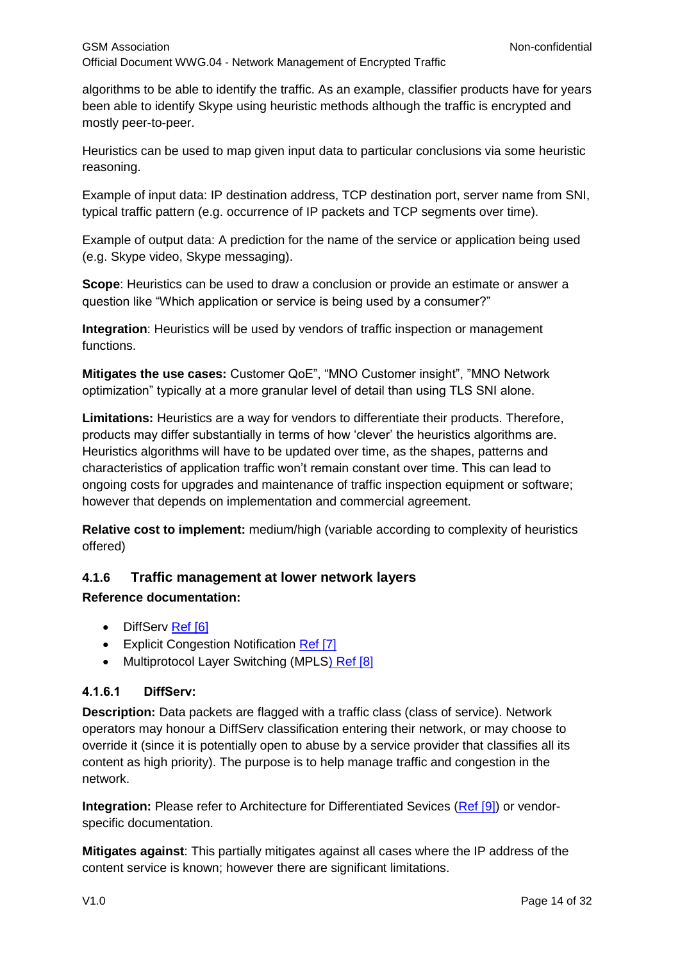algorithms to be able to identify the traffic. As an example, classifier products have for years been able to identify Skype using heuristic methods although the traffic is encrypted and mostly peer-to-peer.

Heuristics can be used to map given input data to particular conclusions via some heuristic reasoning.

Example of input data: IP destination address, TCP destination port, server name from SNI, typical traffic pattern (e.g. occurrence of IP packets and TCP segments over time).

Example of output data: A prediction for the name of the service or application being used (e.g. Skype video, Skype messaging).

**Scope**: Heuristics can be used to draw a conclusion or provide an estimate or answer a question like "Which application or service is being used by a consumer?"

**Integration**: Heuristics will be used by vendors of traffic inspection or management functions.

**Mitigates the use cases:** Customer QoE", "MNO Customer insight", "MNO Network optimization" typically at a more granular level of detail than using TLS SNI alone.

**Limitations:** Heuristics are a way for vendors to differentiate their products. Therefore, products may differ substantially in terms of how 'clever' the heuristics algorithms are. Heuristics algorithms will have to be updated over time, as the shapes, patterns and characteristics of application traffic won't remain constant over time. This can lead to ongoing costs for upgrades and maintenance of traffic inspection equipment or software; however that depends on implementation and commercial agreement.

**Relative cost to implement:** medium/high (variable according to complexity of heuristics offered)

### <span id="page-13-0"></span>**4.1.6 Traffic management at lower network layers**

#### **Reference documentation:**

- DiffServ [Ref \[6\]](#page-6-0)
- Explicit Congestion Notification [Ref \[7\]](#page-6-0)
- Multiprotocol Layer Switching (MPLS) Ref [8]

#### **4.1.6.1 DiffServ:**

**Description:** Data packets are flagged with a traffic class (class of service). Network operators may honour a DiffServ classification entering their network, or may choose to override it (since it is potentially open to abuse by a service provider that classifies all its content as high priority). The purpose is to help manage traffic and congestion in the network.

**Integration:** Please refer to Architecture for Differentiated Sevices [\(Ref \[9\]\)](#page-6-0) or vendorspecific documentation.

**Mitigates against**: This partially mitigates against all cases where the IP address of the content service is known; however there are significant limitations.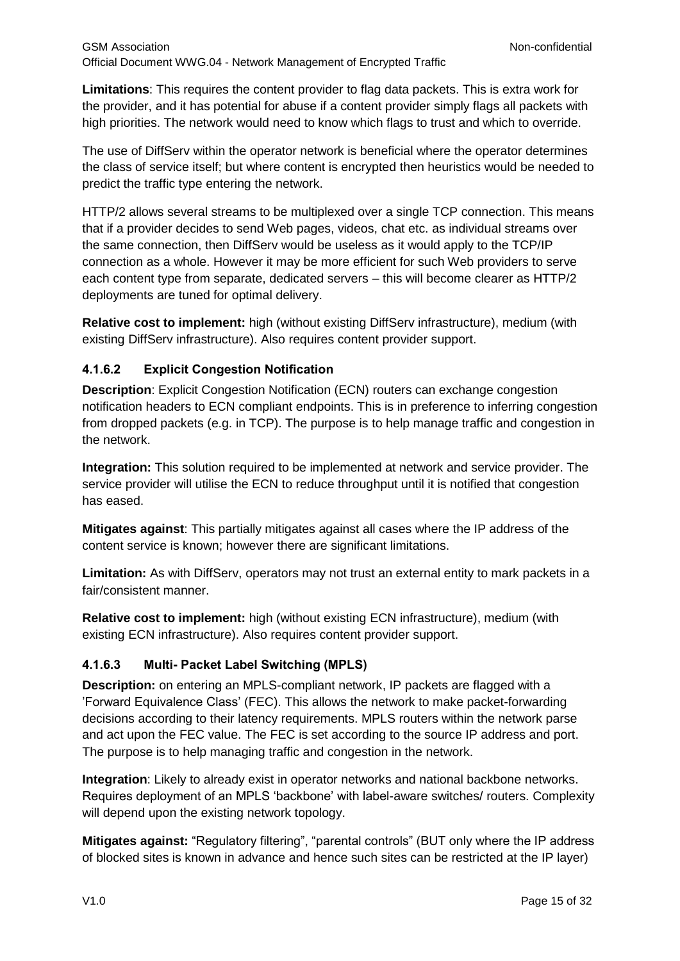**Limitations**: This requires the content provider to flag data packets. This is extra work for the provider, and it has potential for abuse if a content provider simply flags all packets with high priorities. The network would need to know which flags to trust and which to override.

The use of DiffServ within the operator network is beneficial where the operator determines the class of service itself; but where content is encrypted then heuristics would be needed to predict the traffic type entering the network.

HTTP/2 allows several streams to be multiplexed over a single TCP connection. This means that if a provider decides to send Web pages, videos, chat etc. as individual streams over the same connection, then DiffServ would be useless as it would apply to the TCP/IP connection as a whole. However it may be more efficient for such Web providers to serve each content type from separate, dedicated servers – this will become clearer as HTTP/2 deployments are tuned for optimal delivery.

**Relative cost to implement:** high (without existing DiffServ infrastructure), medium (with existing DiffServ infrastructure). Also requires content provider support.

#### **4.1.6.2 Explicit Congestion Notification**

**Description**: Explicit Congestion Notification (ECN) routers can exchange congestion notification headers to ECN compliant endpoints. This is in preference to inferring congestion from dropped packets (e.g. in TCP). The purpose is to help manage traffic and congestion in the network.

**Integration:** This solution required to be implemented at network and service provider. The service provider will utilise the ECN to reduce throughput until it is notified that congestion has eased.

**Mitigates against**: This partially mitigates against all cases where the IP address of the content service is known; however there are significant limitations.

**Limitation:** As with DiffServ, operators may not trust an external entity to mark packets in a fair/consistent manner.

**Relative cost to implement:** high (without existing ECN infrastructure), medium (with existing ECN infrastructure). Also requires content provider support.

#### **4.1.6.3 Multi- Packet Label Switching (MPLS)**

**Description:** on entering an MPLS-compliant network, IP packets are flagged with a 'Forward Equivalence Class' (FEC). This allows the network to make packet-forwarding decisions according to their latency requirements. MPLS routers within the network parse and act upon the FEC value. The FEC is set according to the source IP address and port. The purpose is to help managing traffic and congestion in the network.

**Integration**: Likely to already exist in operator networks and national backbone networks. Requires deployment of an MPLS 'backbone' with label-aware switches/ routers. Complexity will depend upon the existing network topology.

**Mitigates against:** "Regulatory filtering", "parental controls" (BUT only where the IP address of blocked sites is known in advance and hence such sites can be restricted at the IP layer)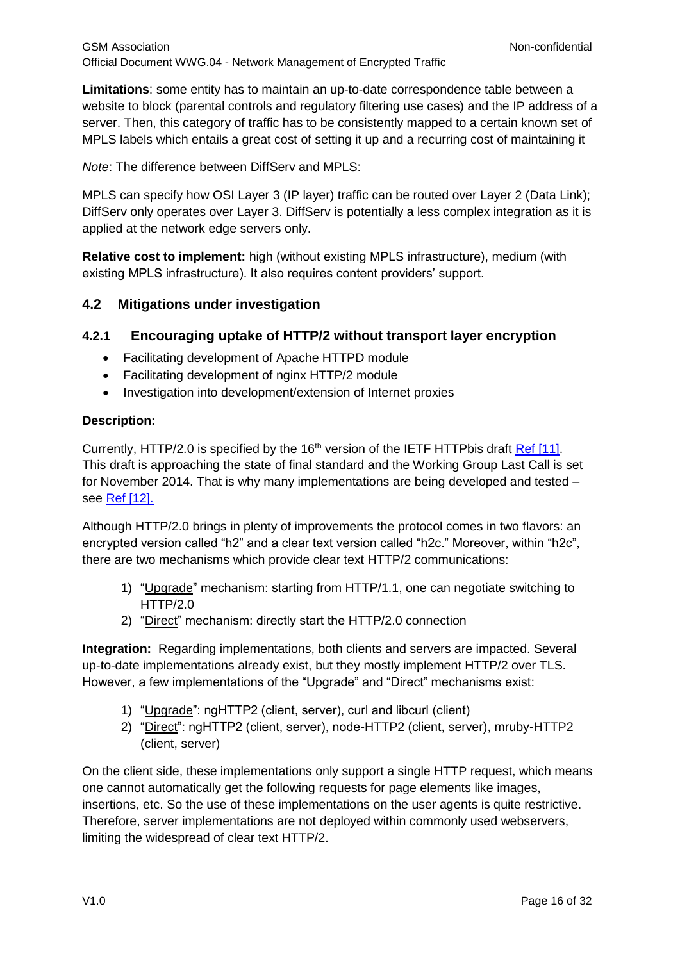**Limitations**: some entity has to maintain an up-to-date correspondence table between a website to block (parental controls and regulatory filtering use cases) and the IP address of a server. Then, this category of traffic has to be consistently mapped to a certain known set of MPLS labels which entails a great cost of setting it up and a recurring cost of maintaining it

*Note*: The difference between DiffServ and MPLS:

MPLS can specify how OSI Layer 3 (IP layer) traffic can be routed over Layer 2 (Data Link); DiffServ only operates over Layer 3. DiffServ is potentially a less complex integration as it is applied at the network edge servers only.

**Relative cost to implement:** high (without existing MPLS infrastructure), medium (with existing MPLS infrastructure). It also requires content providers' support.

### <span id="page-15-0"></span>**4.2 Mitigations under investigation**

#### <span id="page-15-1"></span>**4.2.1 Encouraging uptake of HTTP/2 without transport layer encryption**

- Facilitating development of Apache HTTPD module
- Facilitating development of nginx HTTP/2 module
- Investigation into development/extension of Internet proxies

#### **Description:**

Currently, HTTP/2.0 is specified by the 16<sup>th</sup> version of the IETF HTTPbis draft Ref [11]. This draft is approaching the state of final standard and the Working Group Last Call is set for November 2014. That is why many implementations are being developed and tested – see Ref [12].

Although HTTP/2.0 brings in plenty of improvements the protocol comes in two flavors: an encrypted version called "h2" and a clear text version called "h2c." Moreover, within "h2c", there are two mechanisms which provide clear text HTTP/2 communications:

- 1) "Upgrade" mechanism: starting from HTTP/1.1, one can negotiate switching to HTTP/2.0
- 2) "Direct" mechanism: directly start the HTTP/2.0 connection

**Integration:** Regarding implementations, both clients and servers are impacted. Several up-to-date implementations already exist, but they mostly implement HTTP/2 over TLS. However, a few implementations of the "Upgrade" and "Direct" mechanisms exist:

- 1) "Upgrade": ngHTTP2 (client, server), curl and libcurl (client)
- 2) "Direct": ngHTTP2 (client, server), node-HTTP2 (client, server), mruby-HTTP2 (client, server)

On the client side, these implementations only support a single HTTP request, which means one cannot automatically get the following requests for page elements like images, insertions, etc. So the use of these implementations on the user agents is quite restrictive. Therefore, server implementations are not deployed within commonly used webservers, limiting the widespread of clear text HTTP/2.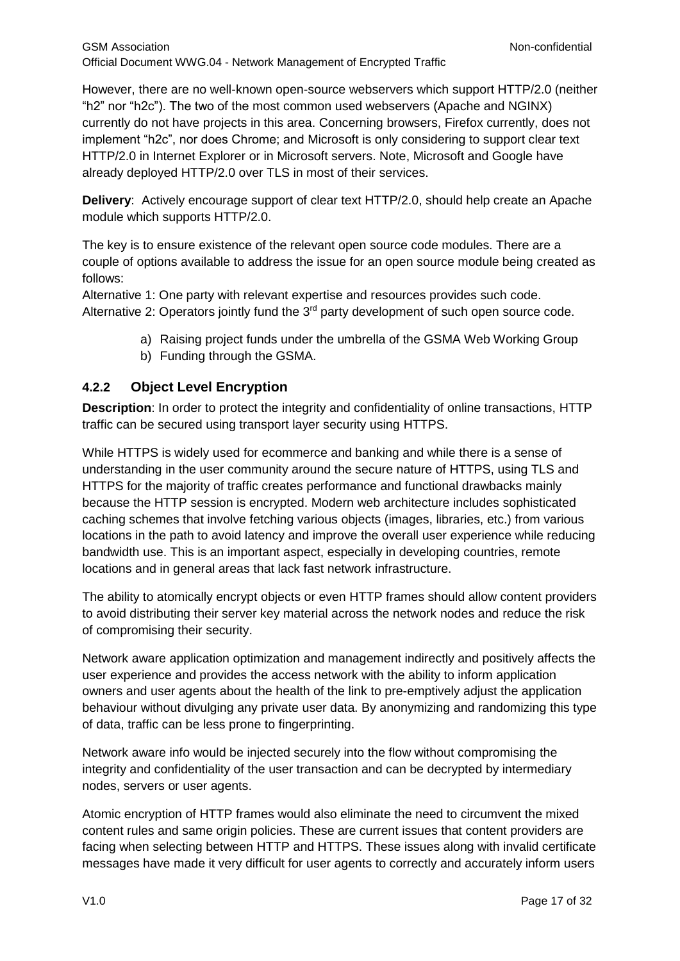However, there are no well-known open-source webservers which support HTTP/2.0 (neither "h2" nor "h2c"). The two of the most common used webservers (Apache and NGINX) currently do not have projects in this area. Concerning browsers, Firefox currently, does not implement "h2c", nor does Chrome; and Microsoft is only considering to support clear text HTTP/2.0 in Internet Explorer or in Microsoft servers. Note, Microsoft and Google have already deployed HTTP/2.0 over TLS in most of their services.

**Delivery**: Actively encourage support of clear text HTTP/2.0, should help create an Apache module which supports HTTP/2.0.

The key is to ensure existence of the relevant open source code modules. There are a couple of options available to address the issue for an open source module being created as follows:

Alternative 1: One party with relevant expertise and resources provides such code. Alternative 2: Operators jointly fund the  $3<sup>rd</sup>$  party development of such open source code.

- a) Raising project funds under the umbrella of the GSMA Web Working Group
- b) Funding through the GSMA.

### <span id="page-16-0"></span>**4.2.2 Object Level Encryption**

**Description**: In order to protect the integrity and confidentiality of online transactions, HTTP traffic can be secured using transport layer security using HTTPS.

While HTTPS is widely used for ecommerce and banking and while there is a sense of understanding in the user community around the secure nature of HTTPS, using TLS and HTTPS for the majority of traffic creates performance and functional drawbacks mainly because the HTTP session is encrypted. Modern web architecture includes sophisticated caching schemes that involve fetching various objects (images, libraries, etc.) from various locations in the path to avoid latency and improve the overall user experience while reducing bandwidth use. This is an important aspect, especially in developing countries, remote locations and in general areas that lack fast network infrastructure.

The ability to atomically encrypt objects or even HTTP frames should allow content providers to avoid distributing their server key material across the network nodes and reduce the risk of compromising their security.

Network aware application optimization and management indirectly and positively affects the user experience and provides the access network with the ability to inform application owners and user agents about the health of the link to pre-emptively adjust the application behaviour without divulging any private user data. By anonymizing and randomizing this type of data, traffic can be less prone to fingerprinting.

Network aware info would be injected securely into the flow without compromising the integrity and confidentiality of the user transaction and can be decrypted by intermediary nodes, servers or user agents.

Atomic encryption of HTTP frames would also eliminate the need to circumvent the mixed content rules and same origin policies. These are current issues that content providers are facing when selecting between HTTP and HTTPS. These issues along with invalid certificate messages have made it very difficult for user agents to correctly and accurately inform users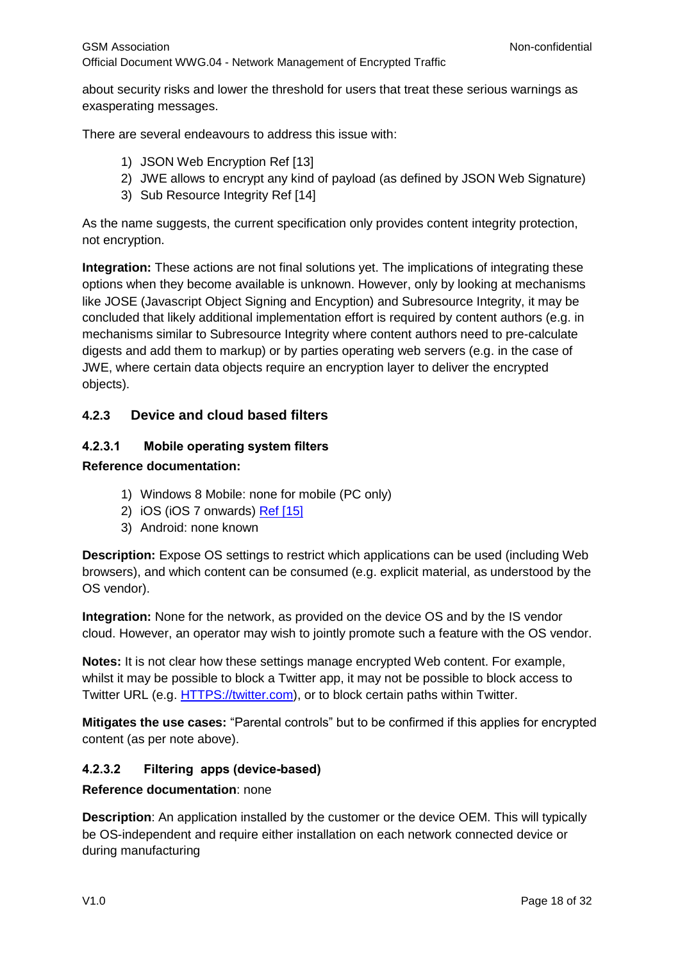about security risks and lower the threshold for users that treat these serious warnings as exasperating messages.

There are several endeavours to address this issue with:

- 1) JSON Web Encryption [Ref \[13\]](#page-6-0)
- 2) JWE allows to encrypt any kind of payload (as defined by JSON Web Signature)
- 3) Sub Resource Integrity [Ref \[14\]](#page-6-0)

As the name suggests, the current specification only provides content integrity protection, not encryption.

**Integration:** These actions are not final solutions yet. The implications of integrating these options when they become available is unknown. However, only by looking at mechanisms like JOSE (Javascript Object Signing and Encyption) and Subresource Integrity, it may be concluded that likely additional implementation effort is required by content authors (e.g. in mechanisms similar to Subresource Integrity where content authors need to pre-calculate digests and add them to markup) or by parties operating web servers (e.g. in the case of JWE, where certain data objects require an encryption layer to deliver the encrypted objects).

# <span id="page-17-0"></span>**4.2.3 Device and cloud based filters**

#### **4.2.3.1 Mobile operating system filters**

#### **Reference documentation:**

- 1) Windows 8 Mobile: none for mobile (PC only)
- 2) iOS (iOS 7 onwards) [Ref \[15\]](#page-6-0)
- 3) Android: none known

**Description:** Expose OS settings to restrict which applications can be used (including Web browsers), and which content can be consumed (e.g. explicit material, as understood by the OS vendor).

**Integration:** None for the network, as provided on the device OS and by the IS vendor cloud. However, an operator may wish to jointly promote such a feature with the OS vendor.

**Notes:** It is not clear how these settings manage encrypted Web content. For example, whilst it may be possible to block a Twitter app, it may not be possible to block access to Twitter URL (e.g. [HTTPS://twitter.com\)](https://twitter.com/), or to block certain paths within Twitter.

**Mitigates the use cases:** "Parental controls" but to be confirmed if this applies for encrypted content (as per note above).

### **4.2.3.2 Filtering apps (device-based)**

#### **Reference documentation**: none

**Description**: An application installed by the customer or the device OEM. This will typically be OS-independent and require either installation on each network connected device or during manufacturing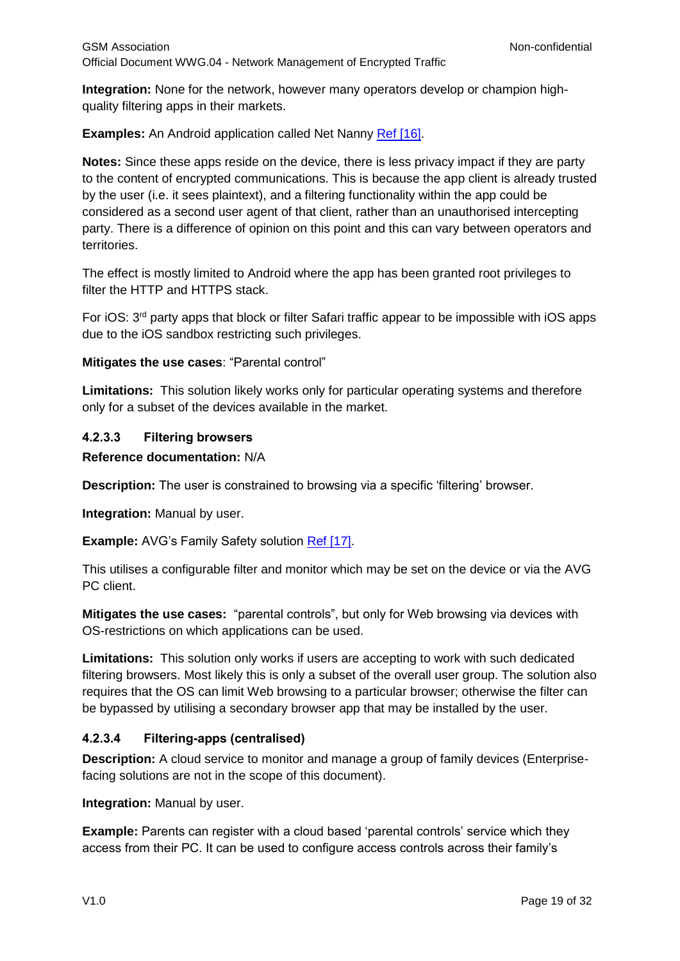**Integration:** None for the network, however many operators develop or champion highquality filtering apps in their markets.

**Examples:** An Android application called Net Nanny [Ref \[16\].](#page-6-0)

**Notes:** Since these apps reside on the device, there is less privacy impact if they are party to the content of encrypted communications. This is because the app client is already trusted by the user (i.e. it sees plaintext), and a filtering functionality within the app could be considered as a second user agent of that client, rather than an unauthorised intercepting party. There is a difference of opinion on this point and this can vary between operators and territories.

The effect is mostly limited to Android where the app has been granted root privileges to filter the HTTP and HTTPS stack.

For iOS: 3rd party apps that block or filter Safari traffic appear to be impossible with iOS apps due to the iOS sandbox restricting such privileges.

**Mitigates the use cases**: "Parental control"

**Limitations:** This solution likely works only for particular operating systems and therefore only for a subset of the devices available in the market.

#### **4.2.3.3 Filtering browsers**

#### **Reference documentation:** N/A

**Description:** The user is constrained to browsing via a specific 'filtering' browser.

**Integration:** Manual by user.

**Example:** AVG's Family Safety solution [Ref \[17\].](#page-6-0)

This utilises a configurable filter and monitor which may be set on the device or via the AVG PC client.

**Mitigates the use cases:** "parental controls", but only for Web browsing via devices with OS-restrictions on which applications can be used.

**Limitations:** This solution only works if users are accepting to work with such dedicated filtering browsers. Most likely this is only a subset of the overall user group. The solution also requires that the OS can limit Web browsing to a particular browser; otherwise the filter can be bypassed by utilising a secondary browser app that may be installed by the user.

#### **4.2.3.4 Filtering-apps (centralised)**

**Description:** A cloud service to monitor and manage a group of family devices (Enterprisefacing solutions are not in the scope of this document).

**Integration:** Manual by user.

**Example:** Parents can register with a cloud based 'parental controls' service which they access from their PC. It can be used to configure access controls across their family's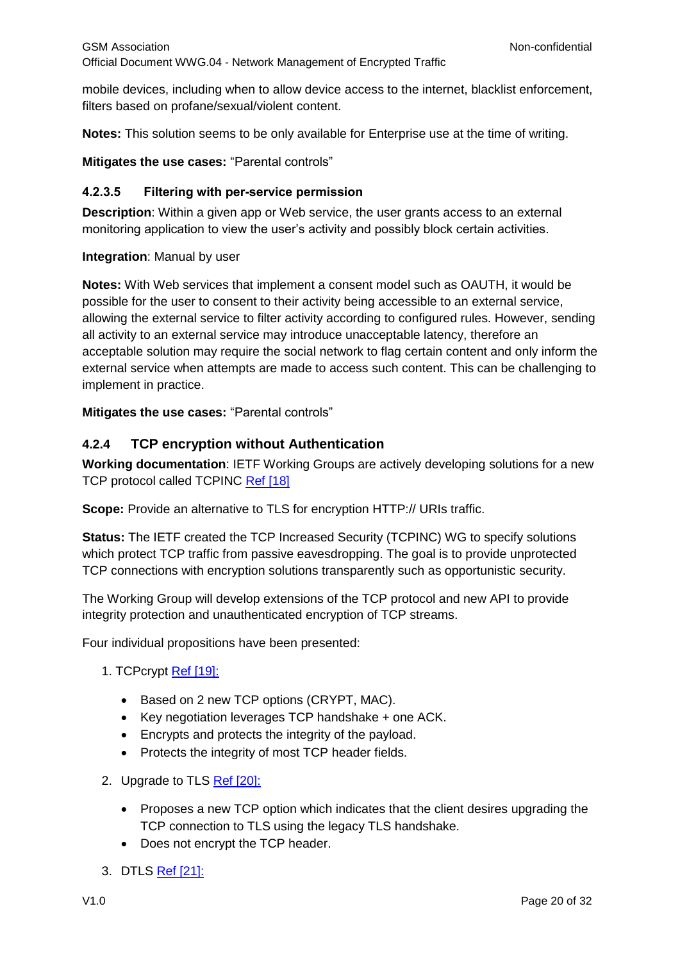mobile devices, including when to allow device access to the internet, blacklist enforcement, filters based on profane/sexual/violent content.

**Notes:** This solution seems to be only available for Enterprise use at the time of writing.

**Mitigates the use cases:** "Parental controls"

#### **4.2.3.5 Filtering with per-service permission**

**Description**: Within a given app or Web service, the user grants access to an external monitoring application to view the user's activity and possibly block certain activities.

#### **Integration**: Manual by user

**Notes:** With Web services that implement a consent model such as OAUTH, it would be possible for the user to consent to their activity being accessible to an external service, allowing the external service to filter activity according to configured rules. However, sending all activity to an external service may introduce unacceptable latency, therefore an acceptable solution may require the social network to flag certain content and only inform the external service when attempts are made to access such content. This can be challenging to implement in practice.

**Mitigates the use cases:** "Parental controls"

### <span id="page-19-0"></span>**4.2.4 TCP encryption without Authentication**

**Working documentation**: IETF Working Groups are actively developing solutions for a new TCP protocol called TCPINC [Ref \[18\]](#page-6-0)

**Scope:** Provide an alternative to TLS for encryption HTTP:// URIs traffic.

**Status:** The IETF created the TCP Increased Security (TCPINC) WG to specify solutions which protect TCP traffic from passive eavesdropping. The goal is to provide unprotected TCP connections with encryption solutions transparently such as opportunistic security.

The Working Group will develop extensions of the TCP protocol and new API to provide integrity protection and unauthenticated encryption of TCP streams.

Four individual propositions have been presented:

- 1. TCPcrypt [Ref \[19\]:](#page-6-0)
	- Based on 2 new TCP options (CRYPT, MAC).
	- Key negotiation leverages TCP handshake + one ACK.
	- Encrypts and protects the integrity of the payload.
	- Protects the integrity of most TCP header fields.
- 2. Upgrade to TLS [Ref \[20\]:](#page-6-0)
	- Proposes a new TCP option which indicates that the client desires upgrading the TCP connection to TLS using the legacy TLS handshake.
	- Does not encrypt the TCP header.
- 3. DTLS [Ref \[21\]:](#page-6-0)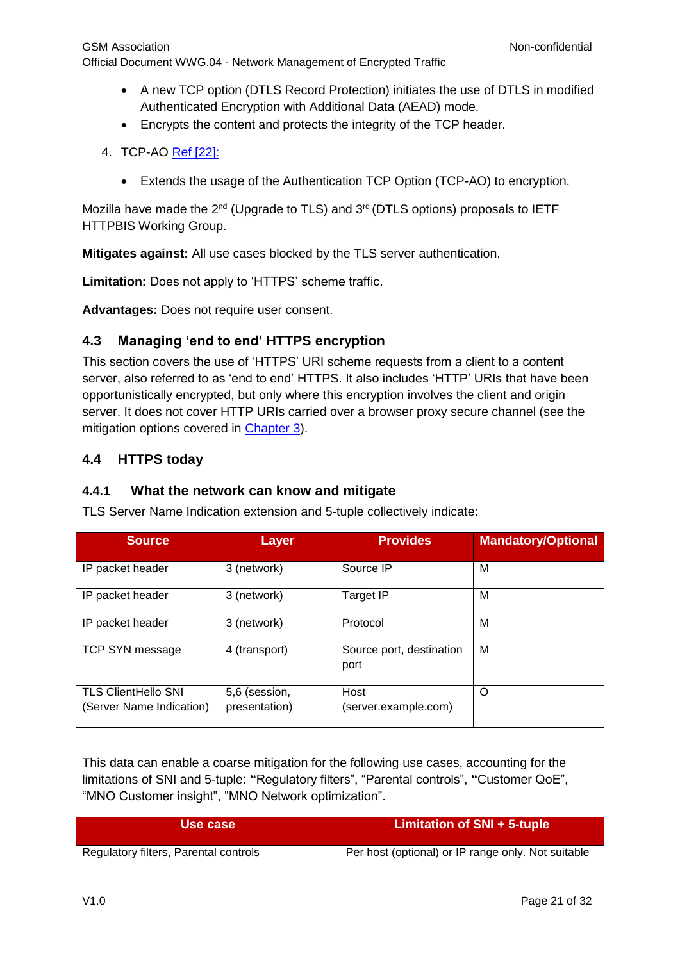- A new TCP option (DTLS Record Protection) initiates the use of DTLS in modified Authenticated Encryption with Additional Data (AEAD) mode.
- Encrypts the content and protects the integrity of the TCP header.
- 4. TCP-AO [Ref \[22\]:](#page-6-0)
	- Extends the usage of the Authentication TCP Option (TCP-AO) to encryption.

Mozilla have made the  $2^{nd}$  (Upgrade to TLS) and  $3^{rd}$  (DTLS options) proposals to IETF HTTPBIS Working Group.

**Mitigates against:** All use cases blocked by the TLS server authentication.

**Limitation:** Does not apply to 'HTTPS' scheme traffic.

**Advantages:** Does not require user consent.

# <span id="page-20-0"></span>**4.3 Managing 'end to end' HTTPS encryption**

This section covers the use of 'HTTPS' URI scheme requests from a client to a content server, also referred to as 'end to end' HTTPS. It also includes 'HTTP' URIs that have been opportunistically encrypted, but only where this encryption involves the client and origin server. It does not cover HTTP URIs carried over a browser proxy secure channel (see the mitigation options covered in Chapter 3).

# <span id="page-20-1"></span>**4.4 HTTPS today**

### <span id="page-20-2"></span>**4.4.1 What the network can know and mitigate**

TLS Server Name Indication extension and 5-tuple collectively indicate:

| <b>Source</b>                                          | Layer                          | <b>Provides</b>                  | <b>Mandatory/Optional</b> |
|--------------------------------------------------------|--------------------------------|----------------------------------|---------------------------|
| IP packet header                                       | 3 (network)                    | Source IP                        | м                         |
| IP packet header                                       | 3 (network)                    | <b>Target IP</b>                 | м                         |
| IP packet header                                       | 3 (network)                    | Protocol                         | м                         |
| TCP SYN message                                        | 4 (transport)                  | Source port, destination<br>port | м                         |
| <b>TLS ClientHello SNI</b><br>(Server Name Indication) | 5,6 (session,<br>presentation) | Host<br>(server.example.com)     | O                         |

This data can enable a coarse mitigation for the following use cases, accounting for the limitations of SNI and 5-tuple: **"**Regulatory filters", "Parental controls", **"**Customer QoE", "MNO Customer insight", "MNO Network optimization".

| Use case                              | Limitation of SNI + 5-tuple                        |
|---------------------------------------|----------------------------------------------------|
| Regulatory filters, Parental controls | Per host (optional) or IP range only. Not suitable |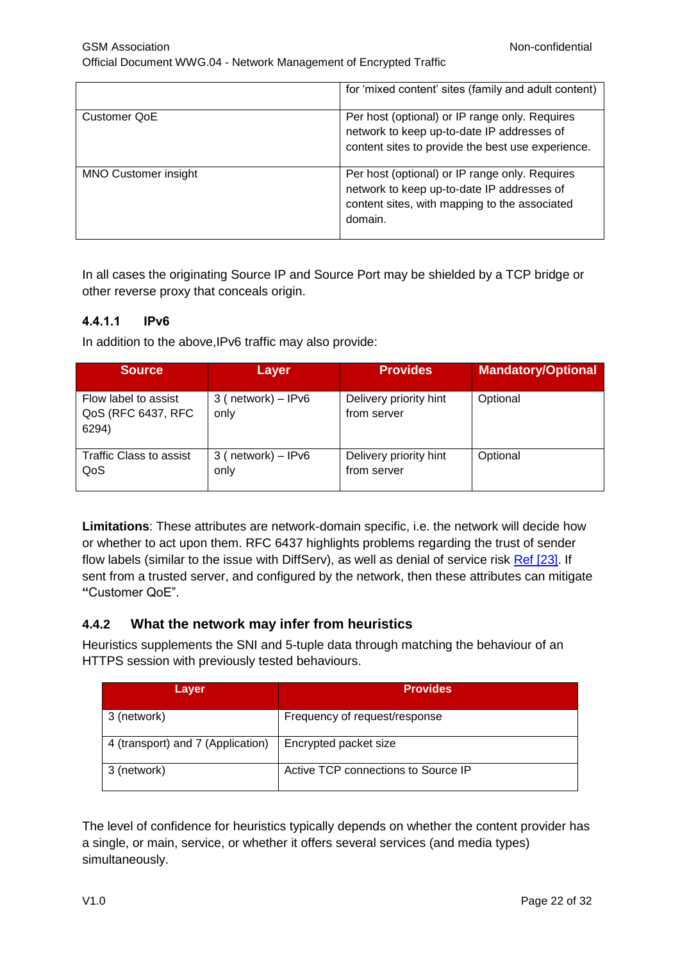|                             | for 'mixed content' sites (family and adult content)                                                                                                     |
|-----------------------------|----------------------------------------------------------------------------------------------------------------------------------------------------------|
| Customer QoE                | Per host (optional) or IP range only. Requires<br>network to keep up-to-date IP addresses of<br>content sites to provide the best use experience.        |
| <b>MNO Customer insight</b> | Per host (optional) or IP range only. Requires<br>network to keep up-to-date IP addresses of<br>content sites, with mapping to the associated<br>domain. |

In all cases the originating Source IP and Source Port may be shielded by a TCP bridge or other reverse proxy that conceals origin.

### **4.4.1.1 IPv6**

In addition to the above,IPv6 traffic may also provide:

| <b>Source</b>                                       | Layer                          | <b>Provides</b>                       | <b>Mandatory/Optional</b> |
|-----------------------------------------------------|--------------------------------|---------------------------------------|---------------------------|
| Flow label to assist<br>QoS (RFC 6437, RFC<br>6294) | 3 ( $network$ ) – IPv6<br>only | Delivery priority hint<br>from server | Optional                  |
| <b>Traffic Class to assist</b><br>QoS               | $3$ (network) – IPv6<br>only   | Delivery priority hint<br>from server | Optional                  |

**Limitations**: These attributes are network-domain specific, i.e. the network will decide how or whether to act upon them. RFC 6437 highlights problems regarding the trust of sender flow labels (similar to the issue with DiffServ), as well as denial of service risk [Ref \[23\].](#page-6-0) If sent from a trusted server, and configured by the network, then these attributes can mitigate **"**Customer QoE".

### <span id="page-21-0"></span>**4.4.2 What the network may infer from heuristics**

Heuristics supplements the SNI and 5-tuple data through matching the behaviour of an HTTPS session with previously tested behaviours.

| Layer                             | <b>Provides</b>                     |
|-----------------------------------|-------------------------------------|
| 3 (network)                       | Frequency of request/response       |
| 4 (transport) and 7 (Application) | Encrypted packet size               |
| 3 (network)                       | Active TCP connections to Source IP |

The level of confidence for heuristics typically depends on whether the content provider has a single, or main, service, or whether it offers several services (and media types) simultaneously.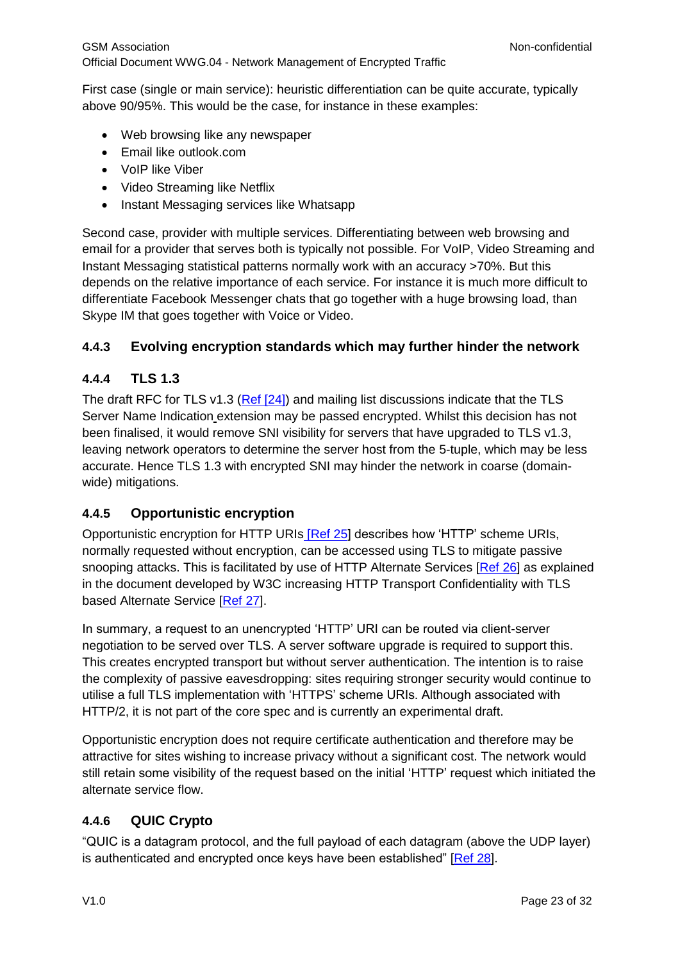First case (single or main service): heuristic differentiation can be quite accurate, typically above 90/95%. This would be the case, for instance in these examples:

- Web browsing like any newspaper
- Email like outlook.com
- VoIP like Viber
- Video Streaming like Netflix
- Instant Messaging services like Whatsapp

Second case, provider with multiple services. Differentiating between web browsing and email for a provider that serves both is typically not possible. For VoIP, Video Streaming and Instant Messaging statistical patterns normally work with an accuracy >70%. But this depends on the relative importance of each service. For instance it is much more difficult to differentiate Facebook Messenger chats that go together with a huge browsing load, than Skype IM that goes together with Voice or Video.

# <span id="page-22-0"></span>**4.4.3 Evolving encryption standards which may further hinder the network**

# <span id="page-22-1"></span>**4.4.4 TLS 1.3**

The draft RFC for TLS v1.3 (Ref [24]) and mailing list discussions indicate that the TLS Server Name Indication extension may be passed encrypted. Whilst this decision has not been finalised, it would remove SNI visibility for servers that have upgraded to TLS v1.3, leaving network operators to determine the server host from the 5-tuple, which may be less accurate. Hence TLS 1.3 with encrypted SNI may hinder the network in coarse (domainwide) mitigations.

# <span id="page-22-2"></span>**4.4.5 Opportunistic encryption**

Opportunistic encryption for HTTP URIs [\[Ref](#page-6-0) 25] describes how 'HTTP' scheme URIs, normally requested without encryption, can be accessed using TLS to mitigate passive snooping attacks. This is facilitated by use of HTTP Alternate Services [\[Ref 26\]](#page-6-0) as explained in the document developed by W3C increasing HTTP Transport Confidentiality with TLS based Alternate Service [\[Ref 27\]](#page-6-0).

In summary, a request to an unencrypted 'HTTP' URI can be routed via client-server negotiation to be served over TLS. A server software upgrade is required to support this. This creates encrypted transport but without server authentication. The intention is to raise the complexity of passive eavesdropping: sites requiring stronger security would continue to utilise a full TLS implementation with 'HTTPS' scheme URIs. Although associated with HTTP/2, it is not part of the core spec and is currently an experimental draft.

Opportunistic encryption does not require certificate authentication and therefore may be attractive for sites wishing to increase privacy without a significant cost. The network would still retain some visibility of the request based on the initial 'HTTP' request which initiated the alternate service flow.

### <span id="page-22-3"></span>**4.4.6 QUIC Crypto**

"QUIC is a datagram protocol, and the full payload of each datagram (above the UDP layer) is authenticated and encrypted once keys have been established" [\[Ref 28\]](#page-6-0).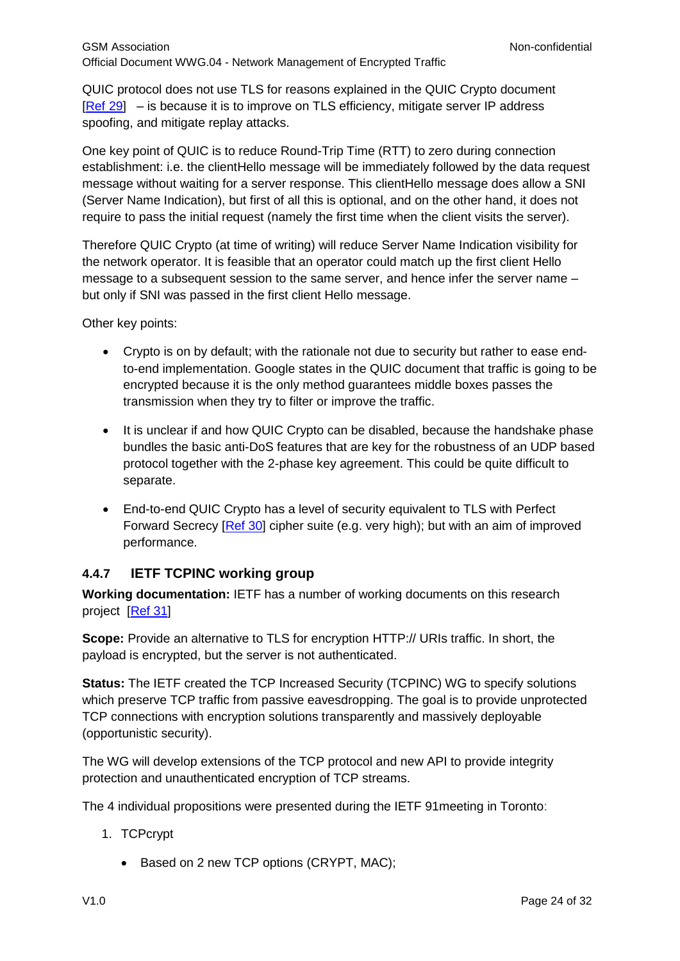QUIC protocol does not use TLS for reasons explained in the QUIC Crypto document [\[Ref 29\]](#page-6-0) – is because it is to improve on TLS efficiency, mitigate server IP address spoofing, and mitigate replay attacks.

One key point of QUIC is to reduce Round-Trip Time (RTT) to zero during connection establishment: i.e. the clientHello message will be immediately followed by the data request message without waiting for a server response. This clientHello message does allow a SNI (Server Name Indication), but first of all this is optional, and on the other hand, it does not require to pass the initial request (namely the first time when the client visits the server).

Therefore QUIC Crypto (at time of writing) will reduce Server Name Indication visibility for the network operator. It is feasible that an operator could match up the first client Hello message to a subsequent session to the same server, and hence infer the server name – but only if SNI was passed in the first client Hello message.

Other key points:

- Crypto is on by default; with the rationale not due to security but rather to ease endto-end implementation. Google states in the QUIC document that traffic is going to be encrypted because it is the only method guarantees middle boxes passes the transmission when they try to filter or improve the traffic.
- It is unclear if and how QUIC Crypto can be disabled, because the handshake phase bundles the basic anti-DoS features that are key for the robustness of an UDP based protocol together with the 2-phase key agreement. This could be quite difficult to separate.
- End-to-end QUIC Crypto has a level of security equivalent to TLS with Perfect Forward Secrecy [\[Ref 30\]](#page-6-0) cipher suite (e.g. very high); but with an aim of improved performance.

### <span id="page-23-0"></span>**4.4.7 IETF TCPINC working group**

**Working documentation:** IETF has a number of working documents on this research project [\[Ref 31\]](#page-6-0)

**Scope:** Provide an alternative to TLS for encryption HTTP:// URIs traffic. In short, the payload is encrypted, but the server is not authenticated.

**Status:** The IETF created the TCP Increased Security (TCPINC) WG to specify solutions which preserve TCP traffic from passive eavesdropping. The goal is to provide unprotected TCP connections with encryption solutions transparently and massively deployable (opportunistic security).

The WG will develop extensions of the TCP protocol and new API to provide integrity protection and unauthenticated encryption of TCP streams.

The 4 individual propositions were presented during the IETF 91meeting in Toronto:

- 1. TCPcrypt
	- Based on 2 new TCP options (CRYPT, MAC);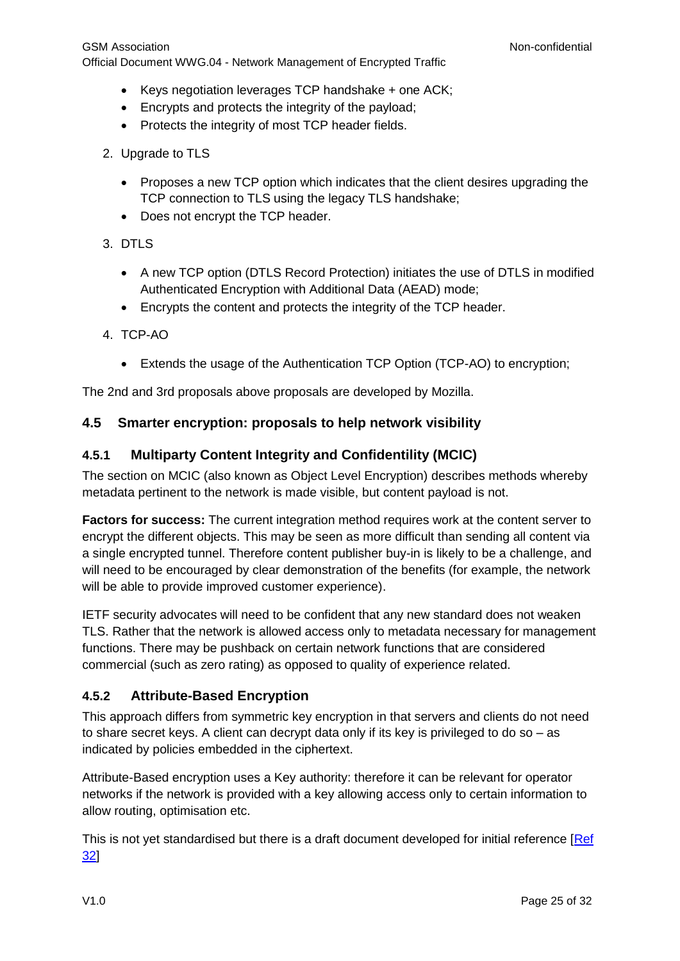- Keys negotiation leverages TCP handshake + one ACK;
- Encrypts and protects the integrity of the payload;
- Protects the integrity of most TCP header fields.
- 2. Upgrade to TLS
	- Proposes a new TCP option which indicates that the client desires upgrading the TCP connection to TLS using the legacy TLS handshake;
	- Does not encrypt the TCP header.
- 3. DTLS
	- A new TCP option (DTLS Record Protection) initiates the use of DTLS in modified Authenticated Encryption with Additional Data (AEAD) mode;
	- Encrypts the content and protects the integrity of the TCP header.
- 4. TCP-AO
	- Extends the usage of the Authentication TCP Option (TCP-AO) to encryption;

The 2nd and 3rd proposals above proposals are developed by Mozilla.

# <span id="page-24-0"></span>**4.5 Smarter encryption: proposals to help network visibility**

# <span id="page-24-1"></span>**4.5.1 Multiparty Content Integrity and Confidentility (MCIC)**

The section on MCIC (also known as Object Level Encryption) describes methods whereby metadata pertinent to the network is made visible, but content payload is not.

**Factors for success:** The current integration method requires work at the content server to encrypt the different objects. This may be seen as more difficult than sending all content via a single encrypted tunnel. Therefore content publisher buy-in is likely to be a challenge, and will need to be encouraged by clear demonstration of the benefits (for example, the network will be able to provide improved customer experience).

IETF security advocates will need to be confident that any new standard does not weaken TLS. Rather that the network is allowed access only to metadata necessary for management functions. There may be pushback on certain network functions that are considered commercial (such as zero rating) as opposed to quality of experience related.

# <span id="page-24-2"></span>**4.5.2 Attribute-Based Encryption**

This approach differs from symmetric key encryption in that servers and clients do not need to share secret keys. A client can decrypt data only if its key is privileged to do so – as indicated by policies embedded in the ciphertext.

Attribute-Based encryption uses a Key authority: therefore it can be relevant for operator networks if the network is provided with a key allowing access only to certain information to allow routing, optimisation etc.

This is not yet standardised but there is a draft document developed for initial reference [\[Ref](#page-6-0)  [32\]](#page-6-0)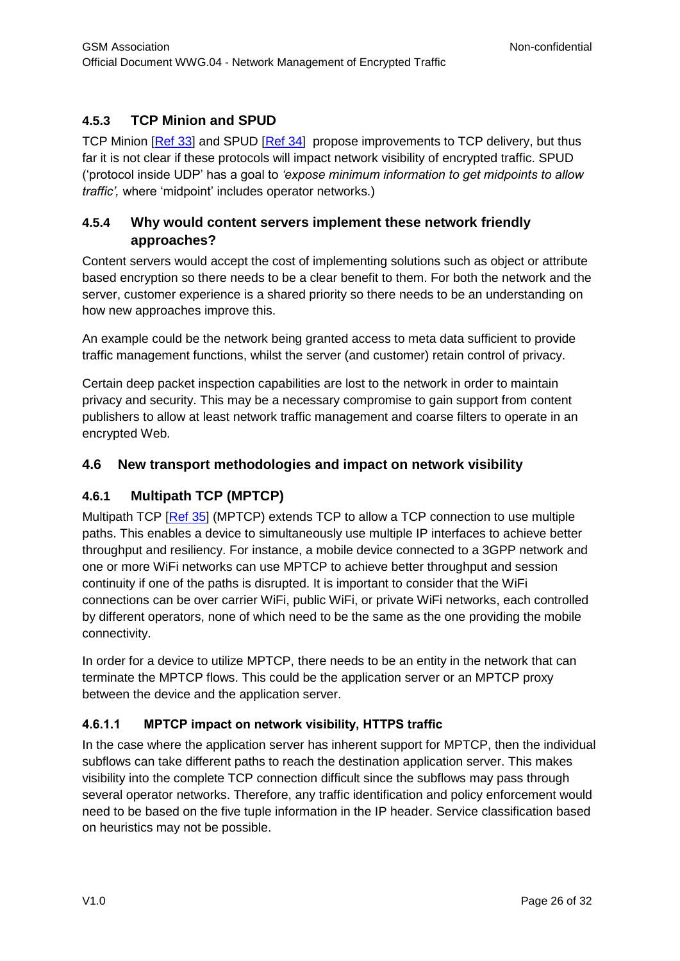# <span id="page-25-0"></span>**4.5.3 TCP Minion and SPUD**

[TCP Minion](http://dedis.cs.yale.edu/2009/tng/papers/nsdi12.pdf) [\[Ref 33\]](#page-6-0) and SPUD [\[Ref 34\]](#page-6-0) propose improvements to TCP delivery, but thus far it is not clear if these protocols will impact network visibility of encrypted traffic. SPUD ('protocol inside UDP' has a goal to *'expose minimum information to get midpoints to allow traffic',* where 'midpoint' includes operator networks.)

# <span id="page-25-1"></span>**4.5.4 Why would content servers implement these network friendly approaches?**

Content servers would accept the cost of implementing solutions such as object or attribute based encryption so there needs to be a clear benefit to them. For both the network and the server, customer experience is a shared priority so there needs to be an understanding on how new approaches improve this.

An example could be the network being granted access to meta data sufficient to provide traffic management functions, whilst the server (and customer) retain control of privacy.

Certain deep packet inspection capabilities are lost to the network in order to maintain privacy and security. This may be a necessary compromise to gain support from content publishers to allow at least network traffic management and coarse filters to operate in an encrypted Web.

# <span id="page-25-2"></span>**4.6 New transport methodologies and impact on network visibility**

# <span id="page-25-3"></span>**4.6.1 Multipath TCP (MPTCP)**

Multipath TCP [\[Ref 35\]](#page-6-0) (MPTCP) extends TCP to allow a TCP connection to use multiple paths. This enables a device to simultaneously use multiple IP interfaces to achieve better throughput and resiliency. For instance, a mobile device connected to a 3GPP network and one or more WiFi networks can use MPTCP to achieve better throughput and session continuity if one of the paths is disrupted. It is important to consider that the WiFi connections can be over carrier WiFi, public WiFi, or private WiFi networks, each controlled by different operators, none of which need to be the same as the one providing the mobile connectivity.

In order for a device to utilize MPTCP, there needs to be an entity in the network that can terminate the MPTCP flows. This could be the application server or an MPTCP proxy between the device and the application server.

# **4.6.1.1 MPTCP impact on network visibility, HTTPS traffic**

In the case where the application server has inherent support for MPTCP, then the individual subflows can take different paths to reach the destination application server. This makes visibility into the complete TCP connection difficult since the subflows may pass through several operator networks. Therefore, any traffic identification and policy enforcement would need to be based on the five tuple information in the IP header. Service classification based on heuristics may not be possible.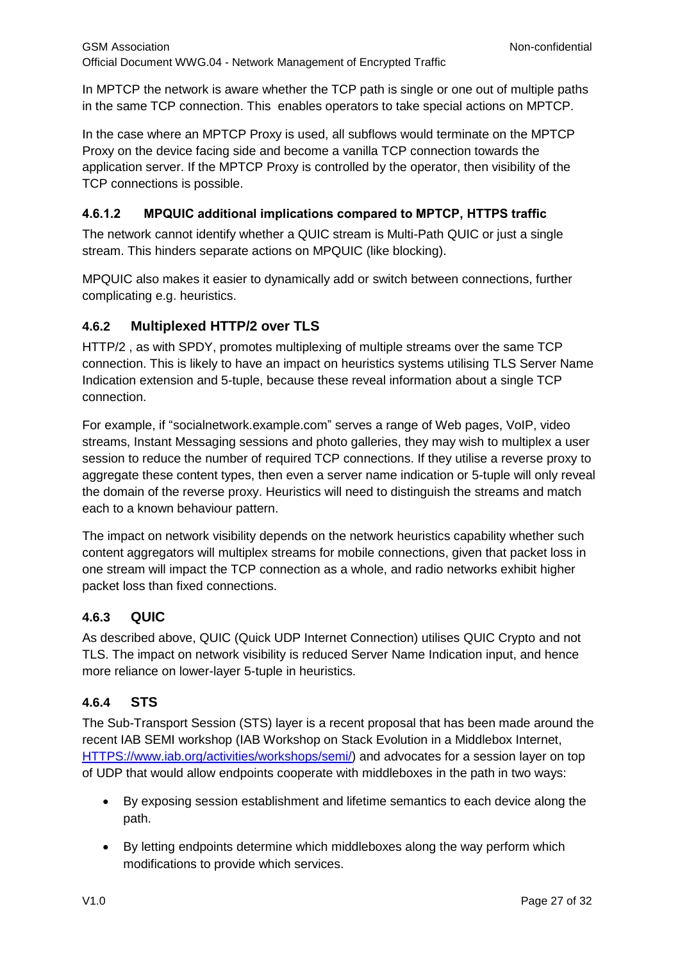In MPTCP the network is aware whether the TCP path is single or one out of multiple paths in the same TCP connection. This enables operators to take special actions on MPTCP.

In the case where an MPTCP Proxy is used, all subflows would terminate on the MPTCP Proxy on the device facing side and become a vanilla TCP connection towards the application server. If the MPTCP Proxy is controlled by the operator, then visibility of the TCP connections is possible.

# **4.6.1.2 MPQUIC additional implications compared to MPTCP, HTTPS traffic**

The network cannot identify whether a QUIC stream is Multi-Path QUIC or just a single stream. This hinders separate actions on MPQUIC (like blocking).

MPQUIC also makes it easier to dynamically add or switch between connections, further complicating e.g. heuristics.

# <span id="page-26-0"></span>**4.6.2 Multiplexed HTTP/2 over TLS**

[HTTP/2](http://http2.github.io/http2-spec/index.html) , as with SPDY, promotes multiplexing of multiple streams over the same TCP connection. This is likely to have an impact on heuristics systems utilising TLS Server Name Indication extension and 5-tuple, because these reveal information about a single TCP connection.

For example, if "socialnetwork.example.com" serves a range of Web pages, VoIP, video streams, Instant Messaging sessions and photo galleries, they may wish to multiplex a user session to reduce the number of required TCP connections. If they utilise a reverse proxy to aggregate these content types, then even a server name indication or 5-tuple will only reveal the domain of the reverse proxy. Heuristics will need to distinguish the streams and match each to a known behaviour pattern.

The impact on network visibility depends on the network heuristics capability whether such content aggregators will multiplex streams for mobile connections, given that packet loss in one stream will impact the TCP connection as a whole, and radio networks exhibit higher packet loss than fixed connections.

# <span id="page-26-1"></span>**4.6.3 QUIC**

As described above, QUIC (Quick UDP Internet Connection) utilises QUIC Crypto and not TLS. The impact on network visibility is reduced Server Name Indication input, and hence more reliance on lower-layer 5-tuple in heuristics.

# <span id="page-26-2"></span>**4.6.4 STS**

The Sub-Transport Session (STS) layer is a recent proposal that has been made around the recent IAB SEMI workshop (IAB Workshop on Stack Evolution in a Middlebox Internet, [HTTPS://www.iab.org/activities/workshops/semi/\)](https://www.iab.org/activities/workshops/semi/) and advocates for a session layer on top of UDP that would allow endpoints cooperate with middleboxes in the path in two ways:

- By exposing session establishment and lifetime semantics to each device along the path.
- By letting endpoints determine which middleboxes along the way perform which modifications to provide which services.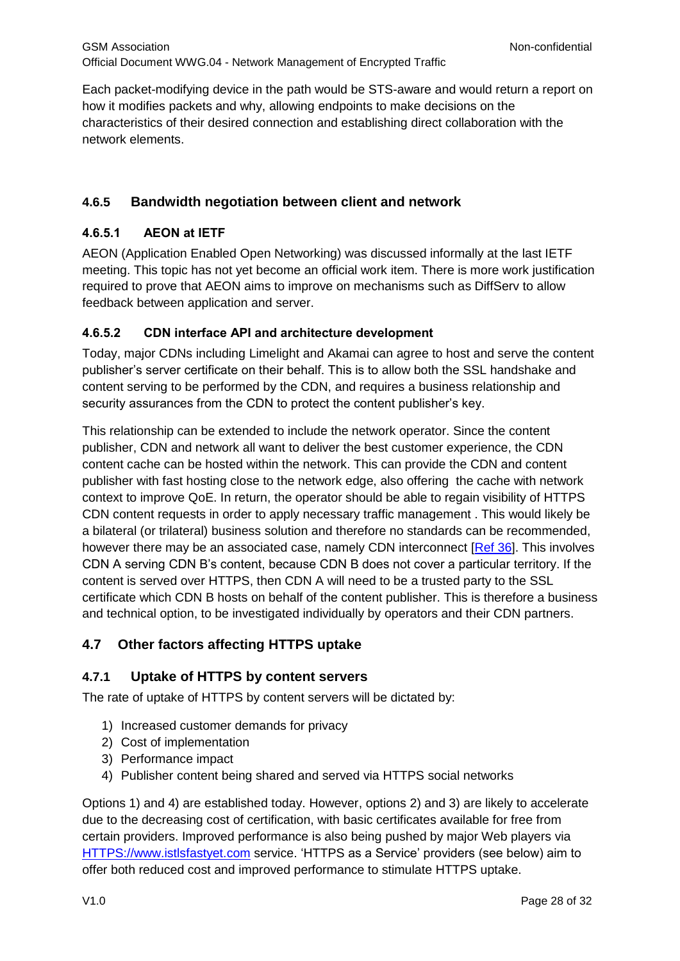Each packet-modifying device in the path would be STS-aware and would return a report on how it modifies packets and why, allowing endpoints to make decisions on the characteristics of their desired connection and establishing direct collaboration with the network elements.

# <span id="page-27-0"></span>**4.6.5 Bandwidth negotiation between client and network**

### **4.6.5.1 AEON at IETF**

AEON (Application Enabled Open Networking) was discussed informally at the last IETF meeting. This topic has not yet become an official work item. There is more work justification required to prove that AEON aims to improve on mechanisms such as DiffServ to allow feedback between application and server.

#### **4.6.5.2 CDN interface API and architecture development**

Today, major CDNs including Limelight and Akamai can agree to host and serve the content publisher's server certificate on their behalf. This is to allow both the SSL handshake and content serving to be performed by the CDN, and requires a business relationship and security assurances from the CDN to protect the content publisher's key.

This relationship can be extended to include the network operator. Since the content publisher, CDN and network all want to deliver the best customer experience, the CDN content cache can be hosted within the network. This can provide the CDN and content publisher with fast hosting close to the network edge, also offering the cache with network context to improve QoE. In return, the operator should be able to regain visibility of HTTPS CDN content requests in order to apply necessary traffic management . This would likely be a bilateral (or trilateral) business solution and therefore no standards can be recommended, however there may be an associated case, namely CDN interconnect [\[Ref 36\]](#page-4-0). This involves CDN A serving CDN B's content, because CDN B does not cover a particular territory. If the content is served over HTTPS, then CDN A will need to be a trusted party to the SSL certificate which CDN B hosts on behalf of the content publisher. This is therefore a business and technical option, to be investigated individually by operators and their CDN partners.

### <span id="page-27-1"></span>**4.7 Other factors affecting HTTPS uptake**

### <span id="page-27-2"></span>**4.7.1 Uptake of HTTPS by content servers**

The rate of uptake of HTTPS by content servers will be dictated by:

- 1) Increased customer demands for privacy
- 2) Cost of implementation
- 3) Performance impact
- 4) Publisher content being shared and served via HTTPS social networks

Options 1) and 4) are established today. However, options 2) and 3) are likely to accelerate due to the decreasing cost of certification, with [basic certificates available for free](https://www.startssl.com/?app=1) from certain providers. Improved performance is also being pushed by major Web players via [HTTPS://www.istlsfastyet.com](https://www.istlsfastyet.com/) service. 'HTTPS as a Service' providers (see below) aim to offer both reduced cost and improved performance to stimulate HTTPS uptake.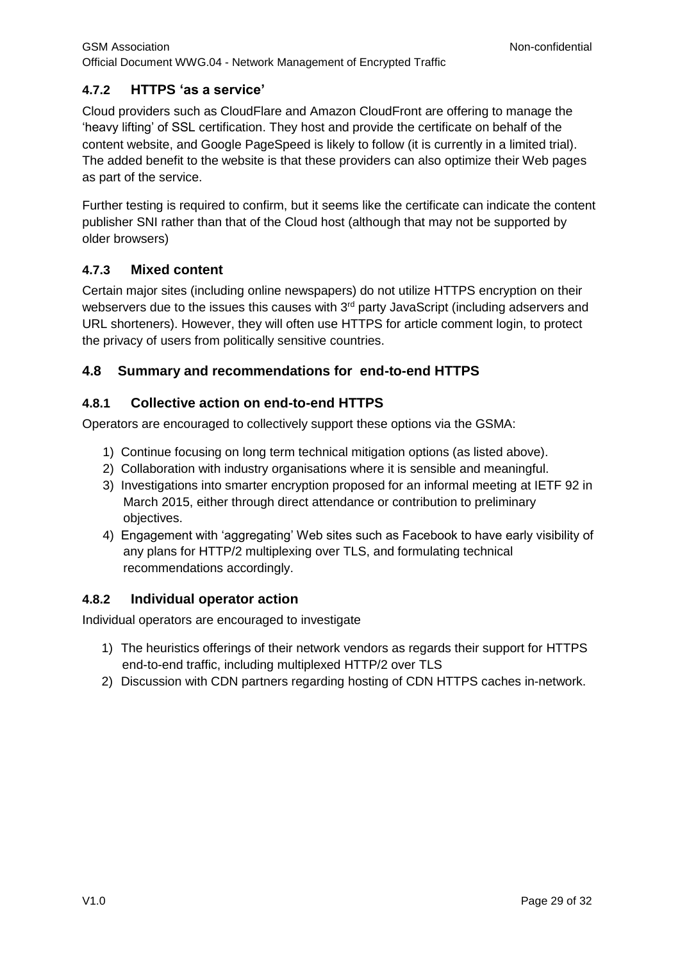# <span id="page-28-0"></span>**4.7.2 HTTPS 'as a service'**

Cloud providers such as CloudFlare and Amazon CloudFront are offering to manage the 'heavy lifting' of SSL certification. They host and provide the certificate on behalf of the content website, and Google PageSpeed is likely to follow (it is currently in a limited trial). The added benefit to the website is that these providers can also optimize their Web pages as part of the service.

Further testing is required to confirm, but it seems like the certificate can indicate the content publisher SNI rather than that of the Cloud host (although that may not be supported by older browsers)

# <span id="page-28-1"></span>**4.7.3 Mixed content**

Certain major sites (including online newspapers) do not utilize HTTPS encryption on their webservers due to the issues this causes with  $3<sup>rd</sup>$  party JavaScript (including adservers and URL shorteners). However, they will often use HTTPS for article comment login, to protect the privacy of users from politically sensitive countries.

# <span id="page-28-2"></span>**4.8 Summary and recommendations for end-to-end HTTPS**

# <span id="page-28-3"></span>**4.8.1 Collective action on end-to-end HTTPS**

Operators are encouraged to collectively support these options via the GSMA:

- 1) Continue focusing on long term technical mitigation options (as listed above).
- 2) Collaboration with industry organisations where it is sensible and meaningful.
- 3) Investigations into smarter encryption proposed for an informal meeting at IETF 92 in March 2015, either through direct attendance or contribution to preliminary objectives.
- 4) Engagement with 'aggregating' Web sites such as Facebook to have early visibility of any plans for HTTP/2 multiplexing over TLS, and formulating technical recommendations accordingly.

# <span id="page-28-4"></span>**4.8.2 Individual operator action**

Individual operators are encouraged to investigate

- 1) The heuristics offerings of their network vendors as regards their support for HTTPS end-to-end traffic, including multiplexed HTTP/2 over TLS
- 2) Discussion with CDN partners regarding hosting of CDN HTTPS caches in-network.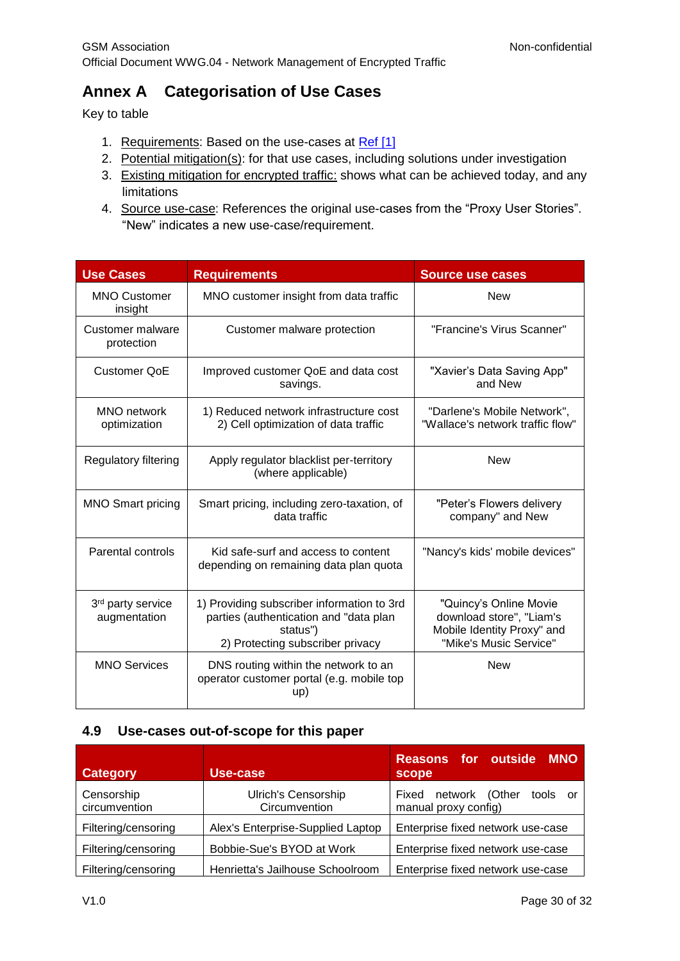# <span id="page-29-0"></span>**Annex A Categorisation of Use Cases**

Key to table

- 1. Requirements: Based on the use-cases at Ref [1]
- 2. Potential mitigation(s): for that use cases, including solutions under investigation
- 3. Existing mitigation for encrypted traffic: shows what can be achieved today, and any limitations
- 4. Source use-case: References the original use-cases from the "Proxy User Stories". "New" indicates a new use-case/requirement.

| <b>Use Cases</b>                  | <b>Requirements</b>                                                                                                                  | <b>Source use cases</b>                                                                                    |  |
|-----------------------------------|--------------------------------------------------------------------------------------------------------------------------------------|------------------------------------------------------------------------------------------------------------|--|
| <b>MNO Customer</b><br>insight    | MNO customer insight from data traffic                                                                                               | <b>New</b>                                                                                                 |  |
| Customer malware<br>protection    | Customer malware protection                                                                                                          | "Francine's Virus Scanner"                                                                                 |  |
| <b>Customer QoE</b>               | Improved customer QoE and data cost<br>savings.                                                                                      | "Xavier's Data Saving App"<br>and New                                                                      |  |
| MNO network<br>optimization       | 1) Reduced network infrastructure cost<br>2) Cell optimization of data traffic                                                       | "Darlene's Mobile Network",<br>"Wallace's network traffic flow"                                            |  |
| Regulatory filtering              | Apply regulator blacklist per-territory<br>(where applicable)                                                                        | <b>New</b>                                                                                                 |  |
| <b>MNO Smart pricing</b>          | Smart pricing, including zero-taxation, of<br>data traffic                                                                           | "Peter's Flowers delivery<br>company" and New                                                              |  |
| Parental controls                 | Kid safe-surf and access to content<br>depending on remaining data plan quota                                                        | "Nancy's kids' mobile devices"                                                                             |  |
| 3rd party service<br>augmentation | 1) Providing subscriber information to 3rd<br>parties (authentication and "data plan<br>status")<br>2) Protecting subscriber privacy | "Quincy's Online Movie<br>download store", "Liam's<br>Mobile Identity Proxy" and<br>"Mike's Music Service" |  |
| <b>MNO Services</b>               | DNS routing within the network to an<br>operator customer portal (e.g. mobile top<br>up)                                             | <b>New</b>                                                                                                 |  |

### <span id="page-29-1"></span>**4.9 Use-cases out-of-scope for this paper**

| <b>Category</b>             | Use-case                                    | Reasons for outside MNO<br><b>scope</b>                  |
|-----------------------------|---------------------------------------------|----------------------------------------------------------|
| Censorship<br>circumvention | <b>Ulrich's Censorship</b><br>Circumvention | Fixed network (Other<br>tools or<br>manual proxy config) |
| Filtering/censoring         | Alex's Enterprise-Supplied Laptop           | Enterprise fixed network use-case                        |
| Filtering/censoring         | Bobbie-Sue's BYOD at Work                   | Enterprise fixed network use-case                        |
| Filtering/censoring         | Henrietta's Jailhouse Schoolroom            | Enterprise fixed network use-case                        |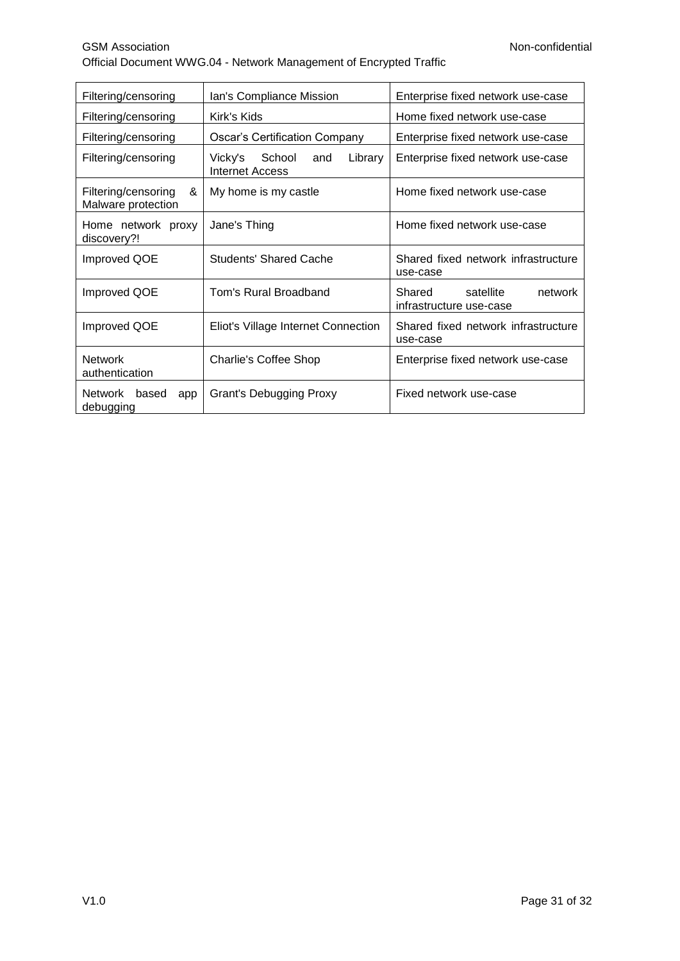| Filtering/censoring                            | Ian's Compliance Mission                                                  | Enterprise fixed network use-case                         |  |
|------------------------------------------------|---------------------------------------------------------------------------|-----------------------------------------------------------|--|
| Filtering/censoring                            | Home fixed network use-case<br>Kirk's Kids                                |                                                           |  |
| Filtering/censoring                            | <b>Oscar's Certification Company</b><br>Enterprise fixed network use-case |                                                           |  |
| Filtering/censoring                            | Library<br>Vicky's School<br>and<br>Internet Access                       | Enterprise fixed network use-case                         |  |
| Filtering/censoring<br>&<br>Malware protection | My home is my castle                                                      | Home fixed network use-case                               |  |
| Home network proxy<br>discovery?!              | Jane's Thing                                                              | Home fixed network use-case                               |  |
| Improved QOE                                   | <b>Students' Shared Cache</b>                                             | Shared fixed network infrastructure<br>use-case           |  |
| Improved QOE                                   | Tom's Rural Broadband                                                     | Shared<br>satellite<br>network<br>infrastructure use-case |  |
| Improved QOE                                   | Eliot's Village Internet Connection                                       | Shared fixed network infrastructure<br>use-case           |  |
| <b>Network</b><br>authentication               | Charlie's Coffee Shop                                                     | Enterprise fixed network use-case                         |  |
| Network based<br>app<br>debugging              | Fixed network use-case<br><b>Grant's Debugging Proxy</b>                  |                                                           |  |